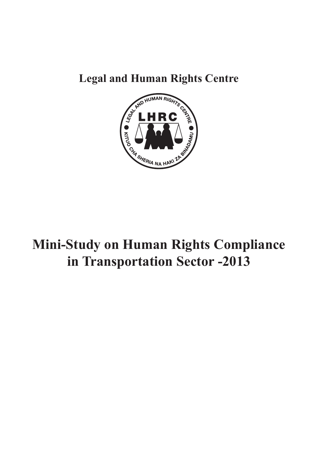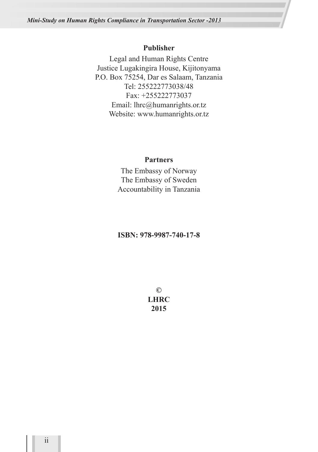#### **Publisher**

Legal and Human Rights Centre Justice Lugakingira House, Kijitonyama P.O. Box 75254, Dar es Salaam, Tanzania Tel: 255222773038/48 Fax: +255222773037 Email: lhrc@humanrights.or.tz Website: www.humanrights.or.tz

#### **Partners**

The Embassy of Norway The Embassy of Sweden Accountability in Tanzania

#### **ISBN: 978-9987-740-17-8**

**© LHRC 2015**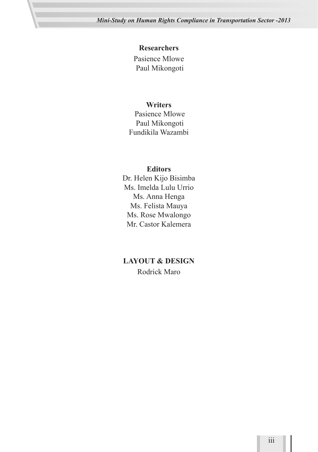#### **Researchers**

Pasience Mlowe Paul Mikongoti

#### **Writers**

 Pasience Mlowe Paul Mikongoti Fundikila Wazambi

#### **Editors**

Dr. Helen Kijo Bisimba Ms. Imelda Lulu Urrio Ms. Anna Henga Ms. Felista Mauya Ms. Rose Mwalongo Mr. Castor Kalemera

#### **LAYOUT & DESIGN**

Rodrick Maro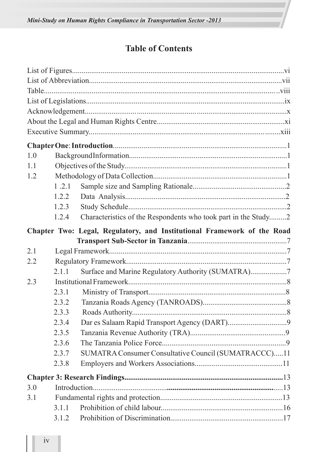# **Table of Contents**

| 1.0 |         |                                                                         |  |
|-----|---------|-------------------------------------------------------------------------|--|
| 1.1 |         |                                                                         |  |
| 1.2 |         |                                                                         |  |
|     | 1, 2, 1 |                                                                         |  |
|     | 1.2.2   |                                                                         |  |
|     | 1.2.3   |                                                                         |  |
|     | 1.2.4   | Characteristics of the Respondents who took part in the Study2          |  |
|     |         | Chapter Two: Legal, Regulatory, and Institutional Framework of the Road |  |
|     |         |                                                                         |  |
| 2.1 |         |                                                                         |  |
| 2.2 |         |                                                                         |  |
|     | 2.1.1   | Surface and Marine Regulatory Authority (SUMATRA)7                      |  |
| 2.3 |         |                                                                         |  |
|     | 2.3.1   |                                                                         |  |
|     | 2.3.2   |                                                                         |  |
|     | 2.3.3   |                                                                         |  |
|     | 2.3.4   |                                                                         |  |
|     | 2.3.5   |                                                                         |  |
|     | 2.3.6   |                                                                         |  |
|     | 2.3.7   | SUMATRA Consumer Consultative Council (SUMATRACCC)11                    |  |
|     | 2.3.8   |                                                                         |  |
|     |         |                                                                         |  |
| 3.0 |         |                                                                         |  |
| 3.1 |         |                                                                         |  |
|     | 3.1.1   |                                                                         |  |
|     | 3.1.2   |                                                                         |  |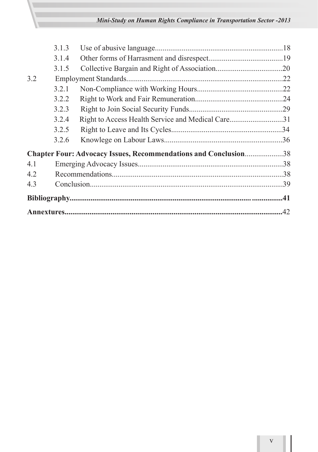|     | 3.1.3 |                                                                 |  |
|-----|-------|-----------------------------------------------------------------|--|
|     | 3.1.4 |                                                                 |  |
|     | 3.1.5 |                                                                 |  |
| 3.2 |       |                                                                 |  |
|     | 3.2.1 |                                                                 |  |
|     | 3.2.2 |                                                                 |  |
|     | 3.2.3 |                                                                 |  |
|     | 3.2.4 | Right to Access Health Service and Medical Care31               |  |
|     | 3.2.5 |                                                                 |  |
|     | 3.2.6 |                                                                 |  |
|     |       | Chapter Four: Advocacy Issues, Recommendations and Conclusion38 |  |
| 4.1 |       |                                                                 |  |
| 4.2 |       |                                                                 |  |
| 4.3 |       |                                                                 |  |
|     |       |                                                                 |  |
|     |       |                                                                 |  |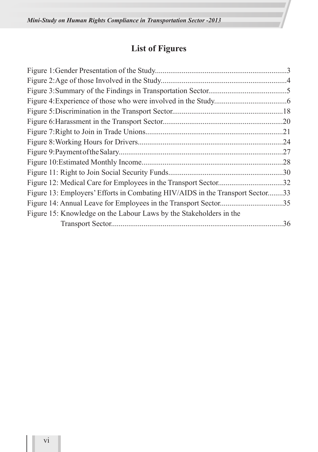# **List of Figures**

|                                                                             | .24 |
|-----------------------------------------------------------------------------|-----|
|                                                                             | .27 |
|                                                                             |     |
|                                                                             |     |
|                                                                             | .32 |
| Figure 13: Employers' Efforts in Combating HIV/AIDS in the Transport Sector | .33 |
|                                                                             | .35 |
| Figure 15: Knowledge on the Labour Laws by the Stakeholders in the          |     |
|                                                                             | .36 |
|                                                                             |     |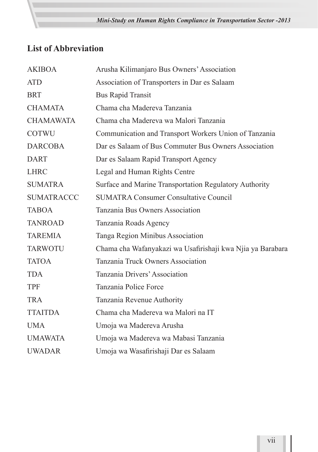# **List of Abbreviation**

| <b>AKIBOA</b>     | Arusha Kilimanjaro Bus Owners' Association                 |
|-------------------|------------------------------------------------------------|
| <b>ATD</b>        | Association of Transporters in Dar es Salaam               |
| <b>BRT</b>        | <b>Bus Rapid Transit</b>                                   |
| <b>CHAMATA</b>    | Chama cha Madereva Tanzania                                |
| <b>CHAMAWATA</b>  | Chama cha Madereva wa Malori Tanzania                      |
| <b>COTWU</b>      | Communication and Transport Workers Union of Tanzania      |
| <b>DARCOBA</b>    | Dar es Salaam of Bus Commuter Bus Owners Association       |
| <b>DART</b>       | Dar es Salaam Rapid Transport Agency                       |
| <b>LHRC</b>       | Legal and Human Rights Centre                              |
| <b>SUMATRA</b>    | Surface and Marine Transportation Regulatory Authority     |
| <b>SUMATRACCC</b> | <b>SUMATRA Consumer Consultative Council</b>               |
| <b>TABOA</b>      | Tanzania Bus Owners Association                            |
| <b>TANROAD</b>    | Tanzania Roads Agency                                      |
| <b>TAREMIA</b>    | Tanga Region Minibus Association                           |
| <b>TARWOTU</b>    | Chama cha Wafanyakazi wa Usafirishaji kwa Njia ya Barabara |
| <b>TATOA</b>      | Tanzania Truck Owners Association                          |
| <b>TDA</b>        | Tanzania Drivers' Association                              |
| <b>TPF</b>        | Tanzania Police Force                                      |
| <b>TRA</b>        | Tanzania Revenue Authority                                 |
| <b>TTAITDA</b>    | Chama cha Madereva wa Malori na IT                         |
| <b>UMA</b>        | Umoja wa Madereva Arusha                                   |
| <b>UMAWATA</b>    | Umoja wa Madereva wa Mabasi Tanzania                       |
| <b>UWADAR</b>     | Umoja wa Wasafirishaji Dar es Salaam                       |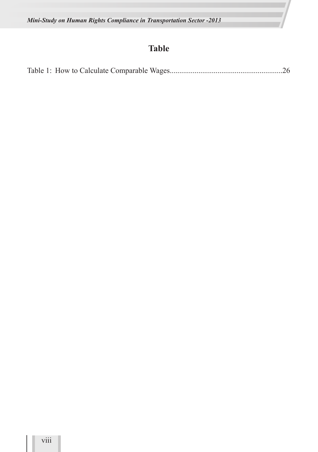# **Table**

|--|--|--|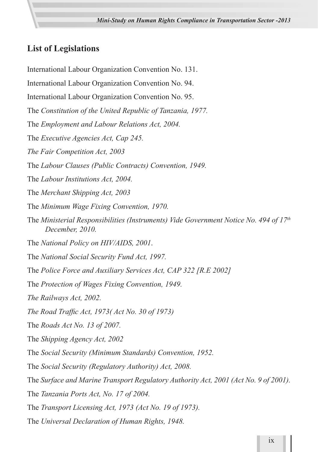# **List of Legislations**

International Labour Organization Convention No. 131. International Labour Organization Convention No. 94. International Labour Organization Convention No. 95. The *Constitution of the United Republic of Tanzania, 1977.* The *Employment and Labour Relations Act, 2004.* The *Executive Agencies Act, Cap 245. The Fair Competition Act, 2003* The *Labour Clauses (Public Contracts) Convention, 1949.* The *Labour Institutions Act, 2004.* The *Merchant Shipping Act, 2003* The *Minimum Wage Fixing Convention, 1970.* The *Ministerial Responsibilities (Instruments) Vide Government Notice No. 494 of 17th December, 2010.* The *National Policy on HIV/AIDS, 2001*. The *National Social Security Fund Act, 1997.* The *Police Force and Auxiliary Services Act, CAP 322 [R.E 2002]* The *Protection of Wages Fixing Convention, 1949. The Railways Act, 2002. The Road Traffic Act, 1973( Act No. 30 of 1973)* The *Roads Act No. 13 of 2007.* The *Shipping Agency Act, 2002* The *Social Security (Minimum Standards) Convention, 1952.* The *Social Security (Regulatory Authority) Act, 2008.* The *Surface and Marine Transport Regulatory Authority Act, 2001 (Act No. 9 of 2001).* The *Tanzania Ports Act, No. 17 of 2004.* The *Transport Licensing Act, 1973 (Act No. 19 of 1973).*

The *Universal Declaration of Human Rights, 1948.*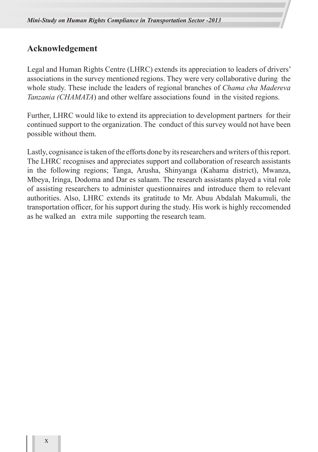# **Acknowledgement**

Legal and Human Rights Centre (LHRC) extends its appreciation to leaders of drivers' associations in the survey mentioned regions. They were very collaborative during the whole study. These include the leaders of regional branches of *Chama cha Madereva Tanzania (CHAMATA*) and other welfare associations found in the visited regions.

Further, LHRC would like to extend its appreciation to development partners for their continued support to the organization. The conduct of this survey would not have been possible without them.

Lastly, cognisance is taken of the efforts done by its researchers and writers of this report. The LHRC recognises and appreciates support and collaboration of research assistants in the following regions; Tanga, Arusha, Shinyanga (Kahama district), Mwanza, Mbeya, Iringa, Dodoma and Dar es salaam. The research assistants played a vital role of assisting researchers to administer questionnaires and introduce them to relevant authorities. Also, LHRC extends its gratitude to Mr. Abuu Abdalah Makumuli, the transportation officer, for his support during the study. His work is highly reccomended as he walked an extra mile supporting the research team.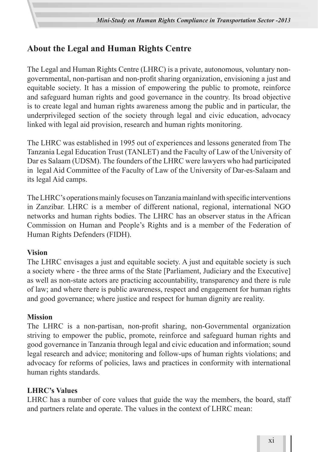# **About the Legal and Human Rights Centre**

The Legal and Human Rights Centre (LHRC) is a private, autonomous, voluntary nongovernmental, non-partisan and non-profit sharing organization, envisioning a just and equitable society. It has a mission of empowering the public to promote, reinforce and safeguard human rights and good governance in the country. Its broad objective is to create legal and human rights awareness among the public and in particular, the underprivileged section of the society through legal and civic education, advocacy linked with legal aid provision, research and human rights monitoring.

The LHRC was established in 1995 out of experiences and lessons generated from The Tanzania Legal Education Trust (TANLET) and the Faculty of Law of the University of Dar es Salaam (UDSM). The founders of the LHRC were lawyers who had participated in legal Aid Committee of the Faculty of Law of the University of Dar-es-Salaam and its legal Aid camps.

The LHRC's operations mainly focuses on Tanzania mainland with specific interventions in Zanzibar. LHRC is a member of different national, regional, international NGO networks and human rights bodies. The LHRC has an observer status in the African Commission on Human and People's Rights and is a member of the Federation of Human Rights Defenders (FIDH).

#### **Vision**

The LHRC envisages a just and equitable society. A just and equitable society is such a society where - the three arms of the State [Parliament, Judiciary and the Executive] as well as non-state actors are practicing accountability, transparency and there is rule of law; and where there is public awareness, respect and engagement for human rights and good governance; where justice and respect for human dignity are reality.

#### **Mission**

The LHRC is a non-partisan, non-profit sharing, non-Governmental organization striving to empower the public, promote, reinforce and safeguard human rights and good governance in Tanzania through legal and civic education and information; sound legal research and advice; monitoring and follow-ups of human rights violations; and advocacy for reforms of policies, laws and practices in conformity with international human rights standards.

#### **LHRC's Values**

LHRC has a number of core values that guide the way the members, the board, staff and partners relate and operate. The values in the context of LHRC mean: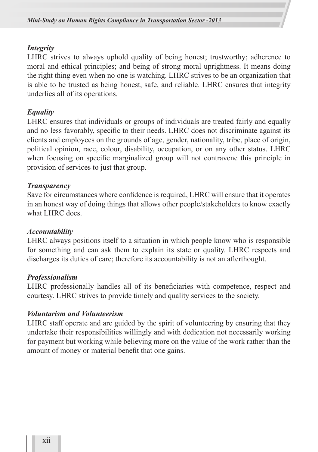#### *Integrity*

LHRC strives to always uphold quality of being honest; trustworthy; adherence to moral and ethical principles; and being of strong moral uprightness. It means doing the right thing even when no one is watching. LHRC strives to be an organization that is able to be trusted as being honest, safe, and reliable. LHRC ensures that integrity underlies all of its operations.

#### *Equality*

LHRC ensures that individuals or groups of individuals are treated fairly and equally and no less favorably, specific to their needs. LHRC does not discriminate against its clients and employees on the grounds of age, gender, nationality, tribe, place of origin, political opinion, race, colour, disability, occupation, or on any other status. LHRC when focusing on specific marginalized group will not contravene this principle in provision of services to just that group.

#### *Transparency*

Save for circumstances where confidence is required, LHRC will ensure that it operates in an honest way of doing things that allows other people/stakeholders to know exactly what LHRC does.

#### *Accountability*

LHRC always positions itself to a situation in which people know who is responsible for something and can ask them to explain its state or quality. LHRC respects and discharges its duties of care; therefore its accountability is not an afterthought.

#### *Professionalism*

LHRC professionally handles all of its beneficiaries with competence, respect and courtesy. LHRC strives to provide timely and quality services to the society.

#### *Voluntarism and Volunteerism*

LHRC staff operate and are guided by the spirit of volunteering by ensuring that they undertake their responsibilities willingly and with dedication not necessarily working for payment but working while believing more on the value of the work rather than the amount of money or material benefit that one gains.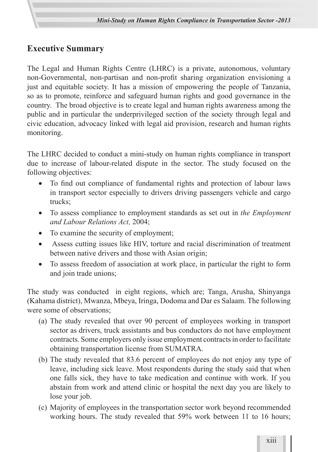# **Executive Summary**

The Legal and Human Rights Centre (LHRC) is a private, autonomous, voluntary non-Governmental, non-partisan and non-profit sharing organization envisioning a just and equitable society. It has a mission of empowering the people of Tanzania, so as to promote, reinforce and safeguard human rights and good governance in the country. The broad objective is to create legal and human rights awareness among the public and in particular the underprivileged section of the society through legal and civic education, advocacy linked with legal aid provision, research and human rights monitoring.

The LHRC decided to conduct a mini-study on human rights compliance in transport due to increase of labour-related dispute in the sector. The study focused on the following objectives:

- To find out compliance of fundamental rights and protection of labour laws in transport sector especially to drivers driving passengers vehicle and cargo trucks;
- To assess compliance to employment standards as set out in *the Employment and Labour Relations Act,* 2004;
- To examine the security of employment;
- Assess cutting issues like HIV, torture and racial discrimination of treatment between native drivers and those with Asian origin;
- To assess freedom of association at work place, in particular the right to form and join trade unions;

The study was conducted in eight regions, which are; Tanga, Arusha, Shinyanga (Kahama district), Mwanza, Mbeya, Iringa, Dodoma and Dar es Salaam. The following were some of observations;

- (a) The study revealed that over 90 percent of employees working in transport sector as drivers, truck assistants and bus conductors do not have employment contracts. Some employers only issue employment contracts in order to facilitate obtaining transportation license from SUMATRA.
- (b) The study revealed that 83.6 percent of employees do not enjoy any type of leave, including sick leave. Most respondents during the study said that when one falls sick, they have to take medication and continue with work. If you abstain from work and attend clinic or hospital the next day you are likely to lose your job.
- (c) Majority of employees in the transportation sector work beyond recommended working hours. The study revealed that 59% work between 11 to 16 hours;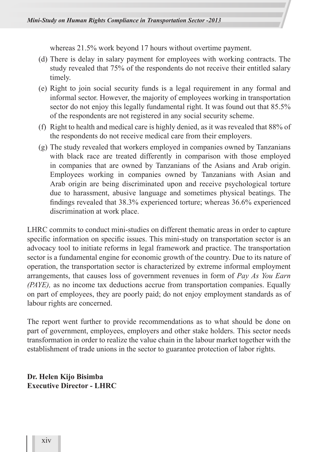whereas 21.5% work beyond 17 hours without overtime payment.

- (d) There is delay in salary payment for employees with working contracts. The study revealed that 75% of the respondents do not receive their entitled salary timely.
- (e) Right to join social security funds is a legal requirement in any formal and informal sector. However, the majority of employees working in transportation sector do not enjoy this legally fundamental right. It was found out that 85.5% of the respondents are not registered in any social security scheme.
- (f) Right to health and medical care is highly denied, as it was revealed that 88% of the respondents do not receive medical care from their employers.
- (g) The study revealed that workers employed in companies owned by Tanzanians with black race are treated differently in comparison with those employed in companies that are owned by Tanzanians of the Asians and Arab origin. Employees working in companies owned by Tanzanians with Asian and Arab origin are being discriminated upon and receive psychological torture due to harassment, abusive language and sometimes physical beatings. The findings revealed that 38.3% experienced torture; whereas 36.6% experienced discrimination at work place.

LHRC commits to conduct mini-studies on different thematic areas in order to capture specific information on specific issues. This mini-study on transportation sector is an advocacy tool to initiate reforms in legal framework and practice. The transportation sector is a fundamental engine for economic growth of the country. Due to its nature of operation, the transportation sector is characterized by extreme informal employment arrangements, that causes loss of government revenues in form of *Pay As You Earn (PAYE),* as no income tax deductions accrue from transportation companies. Equally on part of employees, they are poorly paid; do not enjoy employment standards as of labour rights are concerned.

The report went further to provide recommendations as to what should be done on part of government, employees, employers and other stake holders. This sector needs transformation in order to realize the value chain in the labour market together with the establishment of trade unions in the sector to guarantee protection of labor rights.

**Dr. Helen Kijo Bisimba Executive Director - LHRC**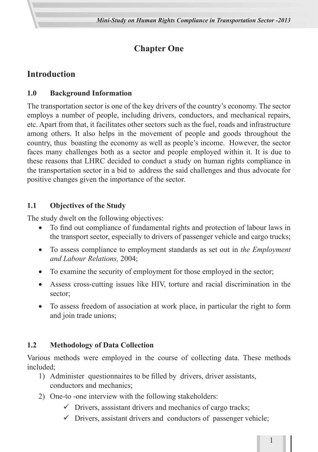# **Chapter One**

# **Introduction**

# **1.0 Background Information**

The transportation sector is one of the key drivers of the country's economy. The sector employs a number of people, including drivers, conductors, and mechanical repairs, etc. Apart from that, it facilitates other sectors such as the fuel, roads and infrastructure among others. It also helps in the movement of people and goods throughout the country, thus boasting the economy as well as people's income. However, the sector faces many challenges both as a sector and people employed within it. It is due to these reasons that LHRC decided to conduct a study on human rights compliance in the transportation sector in a bid to address the said challenges and thus advocate for positive changes given the importance of the sector.

# **1.1 Objectives of the Study**

The study dwelt on the following objectives:

- To find out compliance of fundamental rights and protection of labour laws in the transport sector, especially to drivers of passenger vehicle and cargo trucks;
- • To assess compliance to employment standards as set out in *the Employment and Labour Relations,* 2004;
- To examine the security of employment for those employed in the sector;
- Assess cross-cutting issues like HIV, torture and racial discrimination in the sector;
- To assess freedom of association at work place, in particular the right to form and join trade unions;

# **1.2 Methodology of Data Collection**

Various methods were employed in the course of collecting data. These methods included;

- 1) Administer questionnaires to be filled by drivers, driver assistants, conductors and mechanics;
- 2) One-to -one interview with the following stakeholders:
	- $\checkmark$  Drivers, asssistant drivers and mechanics of cargo tracks;
	- $\checkmark$  Drivers, assistant drivers and conductors of passenger vehicle;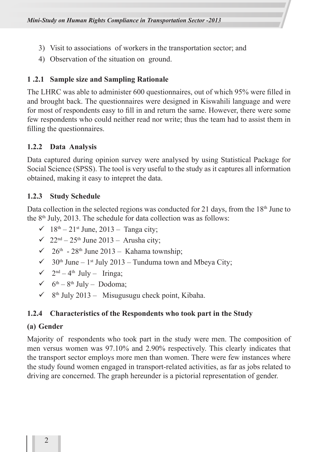- 3) Visit to associations of workers in the transportation sector; and
- 4) Observation of the situation on ground.

#### **1 .2.1 Sample size and Sampling Rationale**

The LHRC was able to administer 600 questionnaires, out of which 95% were filled in and brought back. The questionnaires were designed in Kiswahili language and were for most of respondents easy to fill in and return the same. However, there were some few respondents who could neither read nor write; thus the team had to assist them in filling the questionnaires.

#### **1.2.2 Data Analysis**

Data captured during opinion survey were analysed by using Statistical Package for Social Science (SPSS). The tool is very useful to the study as it captures all information obtained, making it easy to intepret the data.

#### **1.2.3 Study Schedule**

Data collection in the selected regions was conducted for 21 days, from the  $18<sup>th</sup>$  June to the 8th July, 2013. The schedule for data collection was as follows:

- $\checkmark$  18<sup>th</sup> 21<sup>st</sup> June, 2013 Tanga city;
- $\checkmark$  22<sup>nd</sup> 25<sup>th</sup> June 2013 Arusha city;
- $\checkmark$  26<sup>th</sup> 28<sup>th</sup> June 2013 Kahama township;
- $\checkmark$  30<sup>th</sup> June 1<sup>st</sup> July 2013 Tunduma town and Mbeya City;
- $\checkmark$  2<sup>nd</sup> 4<sup>th</sup> July Iringa;
- $6^{th} 8^{th}$  July Dodoma;
- $\checkmark$  8<sup>th</sup> July 2013 Misugusugu check point, Kibaha.

#### **1.2.4 Characteristics of the Respondents who took part in the Study**

#### **(a) Gender**

Majority of respondents who took part in the study were men. The composition of men versus women was 97.10% and 2.90% respectively. This clearly indicates that the transport sector employs more men than women. There were few instances where the study found women engaged in transport-related activities, as far as jobs related to driving are concerned. The graph hereunder is a pictorial representation of gender.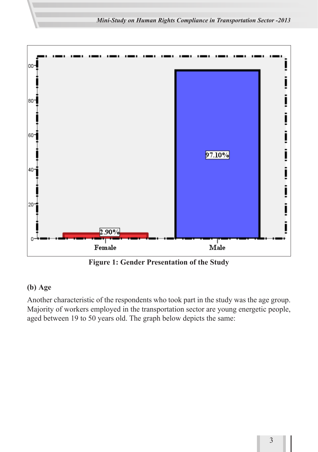*Mini-Study on Human Rights Compliance in Transportation Sector -2013*



**Figure 1: Gender Presentation of the Study**

#### **(b) Age**

Another characteristic of the respondents who took part in the study was the age group. Majority of workers employed in the transportation sector are young energetic people, aged between 19 to 50 years old. The graph below depicts the same: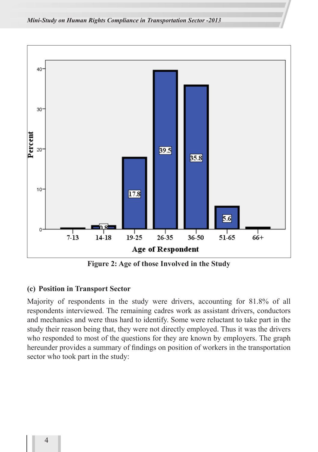

**Figure 2: Age of those Involved in the Study**

#### **(c) Position in Transport Sector**

Majority of respondents in the study were drivers, accounting for 81.8% of all respondents interviewed. The remaining cadres work as assistant drivers, conductors and mechanics and were thus hard to identify. Some were reluctant to take part in the study their reason being that, they were not directly employed. Thus it was the drivers who responded to most of the questions for they are known by employers. The graph hereunder provides a summary of findings on position of workers in the transportation sector who took part in the study: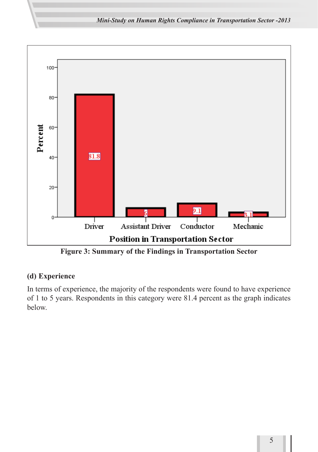*Mini-Study on Human Rights Compliance in Transportation Sector -2013*



**Figure 3: Summary of the Findings in Transportation Sector**

### **(d) Experience**

In terms of experience, the majority of the respondents were found to have experience of 1 to 5 years. Respondents in this category were 81.4 percent as the graph indicates below.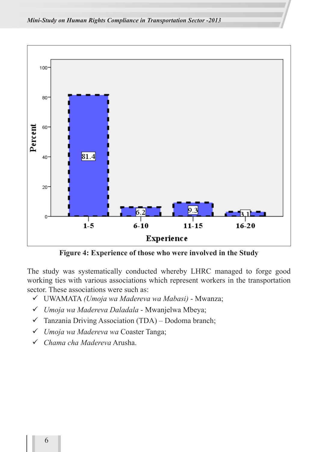

**Figure 4: Experience of those who were involved in the Study**

The study was systematically conducted whereby LHRC managed to forge good working ties with various associations which represent workers in the transportation sector. These associations were such as:

- UWAMATA *(Umoja wa Madereva wa Mabasi)* Mwanza;
- *Umoja wa Madereva Daladala*  Mwanjelwa Mbeya;
- $\checkmark$  Tanzania Driving Association (TDA) Dodoma branch;
- *Umoja wa Madereva wa* Coaster Tanga;
- *Chama cha Madereva* Arusha.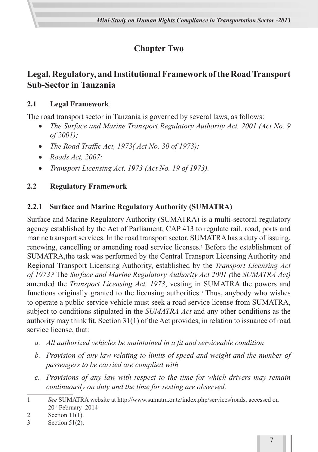# **Chapter Two**

# **Legal, Regulatory, and Institutional Framework of the Road Transport Sub-Sector in Tanzania**

### **2.1 Legal Framework**

The road transport sector in Tanzania is governed by several laws, as follows:

- *The Surface and Marine Transport Regulatory Authority Act, 2001 (Act No. 9 of 2001);*
- • *The Road Traffic Act, 1973( Act No. 30 of 1973);*
- • *Roads Act, 2007;*
- • *Transport Licensing Act, 1973 (Act No. 19 of 1973).*

# **2.2 Regulatory Framework**

# **2.2.1 Surface and Marine Regulatory Authority (SUMATRA)**

Surface and Marine Regulatory Authority (SUMATRA) is a multi-sectoral regulatory agency established by the Act of Parliament, CAP 413 to regulate rail, road, ports and marine transport services. In the road transport sector, SUMATRA has a duty of issuing, renewing, cancelling or amending road service licenses.<sup>1</sup> Before the establishment of SUMATRA,the task was performed by the Central Transport Licensing Authority and Regional Transport Licensing Authority, established by the *Transport Licensing Act of 1973*. 2 The *Surface and Marine Regulatory Authority Act 2001 (*the *SUMATRA Act)* amended the *Transport Licensing Act, 1973*, vesting in SUMATRA the powers and functions originally granted to the licensing authorities.<sup>3</sup> Thus, anybody who wishes to operate a public service vehicle must seek a road service license from SUMATRA, subject to conditions stipulated in the *SUMATRA Act* and any other conditions as the authority may think fit. Section 31(1) of the Act provides, in relation to issuance of road service license, that:

- *a. All authorized vehicles be maintained in a fit and serviceable condition*
- *b. Provision of any law relating to limits of speed and weight and the number of passengers to be carried are complied with*
- *c. Provisions of any law with respect to the time for which drivers may remain continuously on duty and the time for resting are observed.*

<sup>1</sup> *See* SUMATRA website at http://www.sumatra.or.tz/index.php/services/roads, accessed on 20th February 2014

<sup>2</sup> Section 11(1).

<sup>3</sup> Section 51(2).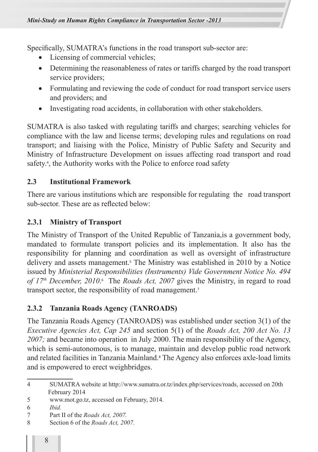Specifically, SUMATRA's functions in the road transport sub-sector are:

- Licensing of commercial vehicles;
- Determining the reasonableness of rates or tariffs charged by the road transport service providers;
- Formulating and reviewing the code of conduct for road transport service users and providers; and
- Investigating road accidents, in collaboration with other stakeholders.

SUMATRA is also tasked with regulating tariffs and charges; searching vehicles for compliance with the law and license terms; developing rules and regulations on road transport; and liaising with the Police, Ministry of Public Safety and Security and Ministry of Infrastructure Development on issues affecting road transport and road safety.<sup>4</sup>, the Authority works with the Police to enforce road safety

#### **2.3 Institutional Framework**

There are various institutions which are responsible for regulating the road transport sub-sector. These are as reflected below:

#### **2.3.1 Ministry of Transport**

The Ministry of Transport of the United Republic of Tanzania,is a government body, mandated to formulate transport policies and its implementation. It also has the responsibility for planning and coordination as well as oversight of infrastructure delivery and assets management.<sup>5</sup> The Ministry was established in 2010 by a Notice issued by *Ministerial Responsibilities (Instruments) Vide Government Notice No. 494*  of 17<sup>th</sup> December, 2010.<sup>6</sup> The *Roads Act, 2007* gives the Ministry, in regard to road transport sector, the responsibility of road management.<sup>7</sup>

### **2.3.2 Tanzania Roads Agency (TANROADS)**

The Tanzania Roads Agency (TANROADS) was established under section 3(1) of the *Executive Agencies Act, Cap 245* and section 5(1) of the *Roads Act, 200 Act No. 13 2007;* and became into operation in July 2000. The main responsibility of the Agency, which is semi-autonomous, is to manage, maintain and develop public road network and related facilities in Tanzania Mainland.<sup>8</sup> The Agency also enforces axle-load limits and is empowered to erect weighbridges.

- 7 Part II of the *Roads Act, 2007.*
- 8 Section 6 of the *Roads Act, 2007.*

<sup>4</sup> SUMATRA website at http://www.sumatra.or.tz/index.php/services/roads, accessed on 20th February 2014

<sup>5</sup> www.mot.go.tz, accessed on February, 2014.

<sup>6</sup> *Ibid.*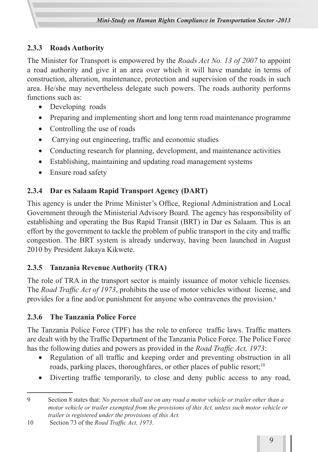# **2.3.3 Roads Authority**

The Minister for Transport is empowered by the *Roads Act No. 13 of 2007* to appoint a road authority and give it an area over which it will have mandate in terms of construction, alteration, maintenance, protection and supervision of the roads in such area. He/she may nevertheless delegate such powers. The roads authority performs functions such as:

- Developing roads
- Preparing and implementing short and long term road maintenance programme
- Controlling the use of roads
- Carrying out engineering, traffic and economic studies
- Conducting research for planning, development, and maintenance activities
- Establishing, maintaining and updating road management systems
- Ensure road safety

# **2.3.4 Dar es Salaam Rapid Transport Agency (DART)**

This agency is under the Prime Minister's Office, Regional Administration and Local Government through the Ministerial Advisory Board. The agency has responsibility of establishing and operating the Bus Rapid Transit (BRT) in Dar es Salaam. This is an effort by the government to tackle the problem of public transport in the city and traffic congestion. The BRT system is already underway, having been launched in August 2010 by President Jakaya Kikwete.

# **2.3.5 Tanzania Revenue Authority (TRA)**

The role of TRA in the transport sector is mainly issuance of motor vehicle licenses. The *Road Traffic Act of 1973*, prohibits the use of motor vehicles without license, and provides for a fine and/or punishment for anyone who contravenes the provision.<sup>9</sup>

# **2.3.6 The Tanzania Police Force**

The Tanzania Police Force (TPF) has the role to enforce traffic laws. Traffic matters are dealt with by the Traffic Department of the Tanzania Police Force. The Police Force has the following duties and powers as provided in the *Road Traffic Act, 1973*:

- Regulation of all traffic and keeping order and preventing obstruction in all roads, parking places, thoroughfares, or other places of public resort;<sup>10</sup>
- Diverting traffic temporarily, to close and deny public access to any road,

<sup>9</sup> Section 8 states that: *No person shall use on any road a motor vehicle or trailer other than a motor vehicle or trailer exempted from the provisions of this Act, unless such motor vehicle or trailer is registered under the provisions of this Act.*

<sup>10</sup> Section 73 of the *Road Traffic Act, 1973*.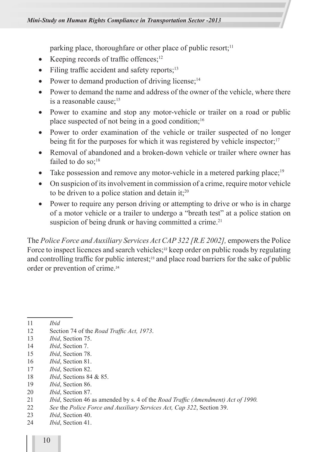parking place, thoroughfare or other place of public resort;<sup>11</sup>

- Keeping records of traffic offences; $12$
- Filing traffic accident and safety reports; $^{13}$
- Power to demand production of driving license; $14$
- Power to demand the name and address of the owner of the vehicle, where there is a reasonable cause;<sup>15</sup>
- Power to examine and stop any motor-vehicle or trailer on a road or public place suspected of not being in a good condition;<sup>16</sup>
- Power to order examination of the vehicle or trailer suspected of no longer being fit for the purposes for which it was registered by vehicle inspector;<sup>17</sup>
- Removal of abandoned and a broken-down vehicle or trailer where owner has failed to do so; $18$
- Take possession and remove any motor-vehicle in a metered parking place;<sup>19</sup>
- On suspicion of its involvement in commission of a crime, require motor vehicle to be driven to a police station and detain it;<sup>20</sup>
- Power to require any person driving or attempting to drive or who is in charge of a motor vehicle or a trailer to undergo a "breath test" at a police station on suspicion of being drunk or having committed a crime.<sup>21</sup>

The *Police Force and Auxiliary Services Act CAP 322 [R.E 2002],* empowers the Police Force to inspect licences and search vehicles;<sup>22</sup> keep order on public roads by regulating and controlling traffic for public interest;<sup>23</sup> and place road barriers for the sake of public order or prevention of crime.<sup>24</sup>

11 *Ibid* 

- 12 Section 74 of the *Road Traffic Act, 1973*.
- 13 *Ibid*, Section 75.
- 14 *Ibid*, Section 7.
- 15 *Ibid*, Section 78.
- 16 *Ibid*, Section 81.
- 17 *Ibid*, Section 82.
- 18 *Ibid*, Sections 84 & 85.
- 19 *Ibid*, Section 86.
- 20 *Ibid*, Section 87.
- 21 *Ibid*, Section 46 as amended by s. 4 of the *Road Traffic (Amendment) Act of 1990.*
- 22 *See* the *Police Force and Auxiliary Services Act, Cap 322*, Section 39.
- 23 *Ibid*, Section 40.
- 24 *Ibid*, Section 41.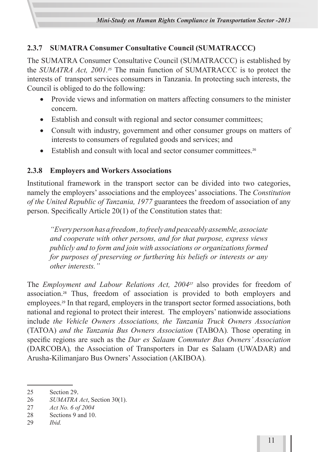

# **2.3.7 SUMATRA Consumer Consultative Council (SUMATRACCC)**

The SUMATRA Consumer Consultative Council (SUMATRACCC) is established by the *SUMATRA Act, 2001.25* The main function of SUMATRACCC is to protect the interests of transport services consumers in Tanzania. In protecting such interests, the Council is obliged to do the following:

- Provide views and information on matters affecting consumers to the minister concern.
- Establish and consult with regional and sector consumer committees;
- Consult with industry, government and other consumer groups on matters of interests to consumers of regulated goods and services; and
- Establish and consult with local and sector consumer committees.<sup>26</sup>

# **2.3.8 Employers and Workers Associations**

Institutional framework in the transport sector can be divided into two categories, namely the employers' associations and the employees' associations. The *Constitution of the United Republic of Tanzania, 1977* guarantees the freedom of association of any person. Specifically Article 20(1) of the Constitution states that:

*"Every person has a freedom , to freely and peaceably assemble, associate and cooperate with other persons, and for that purpose, express views publicly and to form and join with associations or organizations formed for purposes of preserving or furthering his beliefs or interests or any other interests."*

The *Employment and Labour Relations Act, 2004<sup>27</sup>* also provides for freedom of association.28 Thus, freedom of association is provided to both employers and employees.29 In that regard, employers in the transport sector formed associations, both national and regional to protect their interest. The employers' nationwide associations include *the Vehicle Owners Associations, the Tanzania Truck Owners Association*  (TATOA) *and the Tanzania Bus Owners Association* (TABOA)*.* Those operating in specific regions are such as the *Dar es Salaam Commuter Bus Owners' Association*  (DARCOBA)*,* the Association of Transporters in Dar es Salaam (UWADAR) and Arusha-Kilimanjaro Bus Owners' Association (AKIBOA)*.* 

26 *SUMATRA Act*, Section 30(1).

<sup>25</sup> Section 29.

<sup>27</sup> *Act No. 6 of 2004*

<sup>28</sup> Sections 9 and 10.

<sup>29</sup> *Ibid.*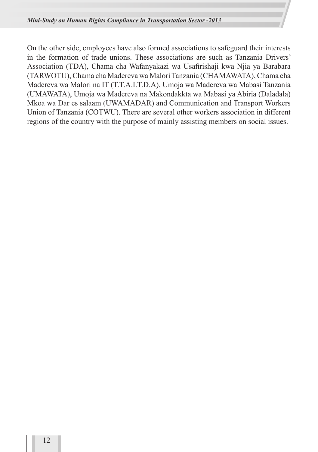On the other side, employees have also formed associations to safeguard their interests in the formation of trade unions. These associations are such as Tanzania Drivers' Association (TDA), Chama cha Wafanyakazi wa Usafirishaji kwa Njia ya Barabara (TARWOTU), Chama cha Madereva wa Malori Tanzania (CHAMAWATA), Chama cha Madereva wa Malori na IT (T.T.A.I.T.D.A), Umoja wa Madereva wa Mabasi Tanzania (UMAWATA), Umoja wa Madereva na Makondakkta wa Mabasi ya Abiria (Daladala) Mkoa wa Dar es salaam (UWAMADAR) and Communication and Transport Workers Union of Tanzania (COTWU). There are several other workers association in different regions of the country with the purpose of mainly assisting members on social issues.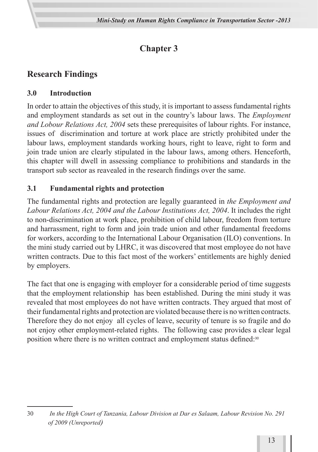# **Chapter 3**

# **Research Findings**

### **3.0 Introduction**

In order to attain the objectives of this study, it is important to assess fundamental rights and employment standards as set out in the country's labour laws. The *Employment and Lobour Relations Act, 2004* sets these prerequisites of labour rights. For instance, issues of discrimination and torture at work place are strictly prohibited under the labour laws, employment standards working hours, right to leave, right to form and join trade union are clearly stipulated in the labour laws, among others. Henceforth, this chapter will dwell in assessing compliance to prohibitions and standards in the transport sub sector as reavealed in the research findings over the same.

### **3.1 Fundamental rights and protection**

The fundamental rights and protection are legally guaranteed in *the Employment and Labour Relations Act, 2004 and the Labour Institutions Act, 2004*. It includes the right to non-discrimination at work place, prohibition of child labour, freedom from torture and harrassment, right to form and join trade union and other fundamental freedoms for workers, according to the International Labour Organisation (ILO) conventions. In the mini study carried out by LHRC, it was discovered that most employee do not have written contracts. Due to this fact most of the workers' entitlements are highly denied by employers.

The fact that one is engaging with employer for a considerable period of time suggests that the employment relationship has been established. During the mini study it was revealed that most employees do not have written contracts. They argued that most of their fundamental rights and protection are violated because there is no written contracts. Therefore they do not enjoy all cycles of leave, security of tenure is so fragile and do not enjoy other employment-related rights. The following case provides a clear legal position where there is no written contract and employment status defined:<sup>30</sup>

<sup>30</sup> *In the High Court of Tanzania, Labour Division at Dar es Salaam, Labour Revision No. 291 of 2009 (Unreported)*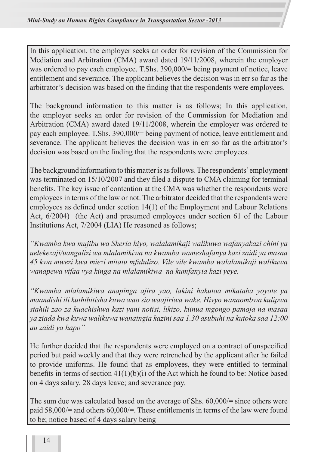In this application, the employer seeks an order for revision of the Commission for Mediation and Arbitration (CMA) award dated 19/11/2008, wherein the employer was ordered to pay each employee. T.Shs. 390,000/= being payment of notice, leave entitlement and severance. The applicant believes the decision was in err so far as the arbitrator's decision was based on the finding that the respondents were employees.

The background information to this matter is as follows; In this application, the employer seeks an order for revision of the Commission for Mediation and Arbitration (CMA) award dated 19/11/2008, wherein the employer was ordered to pay each employee. T.Shs. 390,000/= being payment of notice, leave entitlement and severance. The applicant believes the decision was in err so far as the arbitrator's decision was based on the finding that the respondents were employees.

The background information to this matter is as follows. The respondents' employment was terminated on 15/10/2007 and they filed a dispute to CMA claiming for terminal benefits. The key issue of contention at the CMA was whether the respondents were employees in terms of the law or not. The arbitrator decided that the respondents were employees as defined under section 14(1) of the Employment and Labour Relations Act, 6/2004) (the Act) and presumed employees under section 61 of the Labour Institutions Act, 7/2004 (LIA) He reasoned as follows;

*"Kwamba kwa mujibu wa Sheria hiyo, walalamikaji walikuwa wafanyakazi chini ya uelekezaji/uangalizi wa mlalamikiwa na kwamba wameshafanya kazi zaidi ya masaa 45 kwa mwezi kwa miezi mitatu mfululizo. Vile vile kwamba walalamikaji walikuwa wanapewa vifaa vya kinga na mlalamikiwa na kumfanyia kazi yeye.*

*"Kwamba mlalamikiwa anapinga ajira yao, lakini hakutoa mikataba yoyote ya maandishi ili kuthibitisha kuwa wao sio waajiriwa wake. Hivyo wanaombwa kulipwa stahili zao za kuachishwa kazi yani notisi, likizo, kiinua mgongo pamoja na masaa ya ziada kwa kuwa walikuwa wanaingia kazini saa 1.30 asubuhi na kutoka saa 12:00 au zaidi ya hapo"*

He further decided that the respondents were employed on a contract of unspecified period but paid weekly and that they were retrenched by the applicant after he failed to provide uniforms. He found that as employees, they were entitled to terminal benefits in terms of section 41(1)(b)(i) of the Act which he found to be: Notice based on 4 days salary, 28 days leave; and severance pay.

The sum due was calculated based on the average of Shs. 60,000/= since others were paid 58,000/= and others 60,000/=. These entitlements in terms of the law were found to be; notice based of 4 days salary being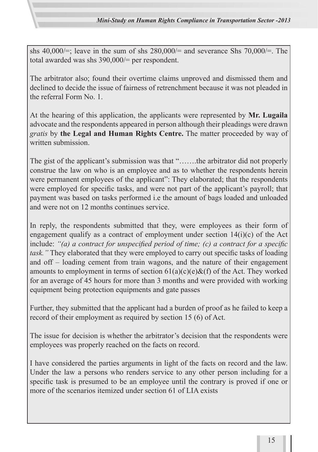shs  $40,000/\equiv$ ; leave in the sum of shs  $280,000/\equiv$  and severance Shs  $70,000/\equiv$ . The total awarded was shs 390,000/= per respondent.

The arbitrator also; found their overtime claims unproved and dismissed them and declined to decide the issue of fairness of retrenchment because it was not pleaded in the referral Form No. 1.

At the hearing of this application, the applicants were represented by **Mr. Lugaila** advocate and the respondents appeared in person although their pleadings were drawn *gratis* by **the Legal and Human Rights Centre.** The matter proceeded by way of written submission.

The gist of the applicant's submission was that "…….the arbitrator did not properly construe the law on who is an employee and as to whether the respondents herein were permanent employees of the applicant": They elaborated; that the respondents were employed for specific tasks, and were not part of the applicant's payroll; that payment was based on tasks performed i.e the amount of bags loaded and unloaded and were not on 12 months continues service.

In reply, the respondents submitted that they, were employees as their form of engagement qualify as a contract of employment under section  $14(i)(c)$  of the Act include: *"(a) a contract for unspecified period of time; (c) a contract for a specific task.*" They elaborated that they were employed to carry out specific tasks of loading and off – loading cement from train wagons, and the nature of their engagement amounts to employment in terms of section  $61(a)(c)(e)\&(f)$  of the Act. They worked for an average of 45 hours for more than 3 months and were provided with working equipment being protection equipments and gate passes

Further, they submitted that the applicant had a burden of proof as he failed to keep a record of their employment as required by section 15 (6) of Act.

The issue for decision is whether the arbitrator's decision that the respondents were employees was properly reached on the facts on record.

I have considered the parties arguments in light of the facts on record and the law. Under the law a persons who renders service to any other person including for a specific task is presumed to be an employee until the contrary is proved if one or more of the scenarios itemized under section 61 of LIA exists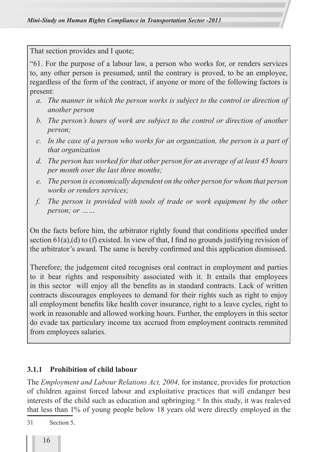That section provides and I quote;

"61. For the purpose of a labour law, a person who works for, or renders services to, any other person is presumed, until the contrary is proved, to be an employee, regardless of the form of the contract, if anyone or more of the following factors is present:

- *a. The manner in which the person works is subject to the control or direction of another person*
- *b. The person's hours of work are subject to the control or direction of another person;*
- *c. In the case of a person who works for an organization, the person is a part of that organization*
- *d. The person has worked for that other person for an average of at least 45 hours per month over the last three months;*
- *e. The person is economically dependent on the other person for whom that person works or renders services;*
- *f. The person is provided with tools of trade or work equipment by the other person; or ……*

On the facts before him, the arbitrator rightly found that conditions specified under section  $61(a)$ , (d) to (f) existed. In view of that, I find no grounds justifying revision of the arbitrator's award. The same is hereby confirmed and this application dismissed.

Therefore; the judgement cited recognises oral contract in employment and parties to it bear rights and responsibity associated with it. It entails that employees in this sector will enjoy all the benefits as in standard contracts. Lack of written contracts discourages employees to demand for their rights such as right to enjoy all employment benefits like health cover insurance, right to a leave cycles, right to work in reasonable and allowed working hours. Further, the employers in this sector do evade tax particulary income tax accrued from employment contracts remmited from employees salaries.

#### **3.1.1 Prohibition of child labour**

The *Employment and Labour Relations Act, 2004,* for instance, provides for protection of children against forced labour and exploitative practices that will endanger best interests of the child such as education and upbringing.31 In this study, it was realeved that less than 1% of young people below 18 years old were directly employed in the

31 Section 5.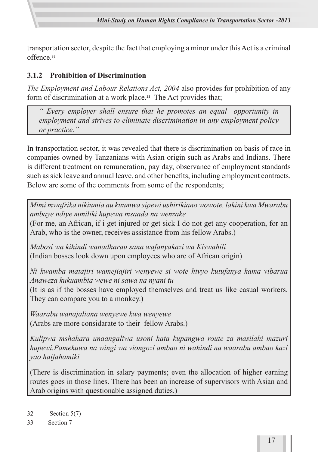transportation sector, despite the fact that employing a minor under this Act is a criminal offence<sup>32</sup>

### **3.1.2 Prohibition of Discrimination**

*The Employment and Labour Relations Act, 2004* also provides for prohibition of any form of discrimination at a work place.<sup>33</sup> The Act provides that;

*" Every employer shall ensure that he promotes an equal opportunity in employment and strives to eliminate discrimination in any employment policy or practice."* 

In transportation sector, it was revealed that there is discrimination on basis of race in companies owned by Tanzanians with Asian origin such as Arabs and Indians. There is different treatment on remuneration, pay day, observance of employment standards such as sick leave and annual leave, and other benefits, including employment contracts. Below are some of the comments from some of the respondents;

*Mimi mwafrika nikiumia au kuumwa sipewi ushirikiano wowote, lakini kwa Mwarabu ambaye ndiye mmiliki hupewa msaada na wenzake*

(For me, an African, if i get injured or get sick I do not get any cooperation, for an Arab, who is the owner, receives assistance from his fellow Arabs.)

*Mabosi wa kihindi wanadharau sana wafanyakazi wa Kiswahili* (Indian bosses look down upon employees who are of African origin)

*Ni kwamba matajiri wamejiajiri wenyewe si wote hivyo kutufanya kama vibarua Anaweza kukuambia wewe ni sawa na nyani tu*

(It is as if the bosses have employed themselves and treat us like casual workers. They can compare you to a monkey.)

*Waarabu wanajaliana wenyewe kwa wenyewe* (Arabs are more considarate to their fellow Arabs.)

*Kulipwa mshahara unaangaliwa usoni hata kupangwa route za masilahi mazuri hupewi.Pamekuwa na wingi wa viongozi ambao ni wahindi na waarabu ambao kazi yao haifahamiki*

(There is discrimination in salary payments; even the allocation of higher earning routes goes in those lines. There has been an increase of supervisors with Asian and Arab origins with questionable assigned duties.)

<sup>32</sup> Section 5(7)

<sup>33</sup> Section 7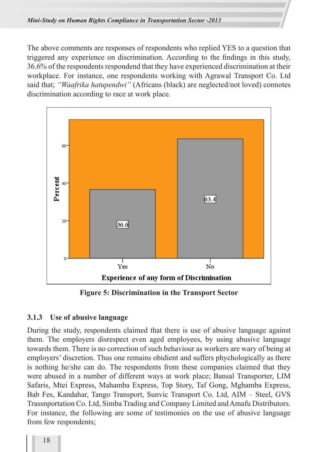The above comments are responses of respondents who replied YES to a question that triggered any experience on discrimination. According to the findings in this study, 36.6% of the respondents respondend that they have experienced discrimination at their workplace. For instance, one respondents working with Agrawal Transport Co. Ltd said that; *"Waafrika hatupendwi"* (Africans (black) are neglected/not loved) connotes discrimination according to race at work place.



**Figure 5: Discrimination in the Transport Sector**

#### **3.1.3 Use of abusive language**

During the study, respondents claimed that there is use of abusive language against them. The employers disrespect even aged employees, by using abusive language towards them. There is no correction of such behaviour as workers are wary of being at employers' discretion. Thus one remains obidient and suffers phychologically as there is nothing he/she can do. The respondents from these companies claimed that they were abused in a number of different ways at work place; Bansal Transporter, LIM Safaris, Mtei Express, Mahamba Express, Top Story, Taf Gong, Mghamba Express, Bab Fes, Kandahar, Tango Transport, Sunvic Transport Co. Ltd, AIM – Steel, GVS Trassnportation Co. Ltd, Simba Trading and Company Limited and Amafu Distributors. For instance, the following are some of testimonies on the use of abusive language from few respondents;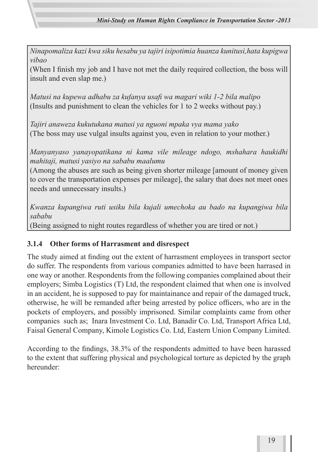*Ninapomaliza kazi kwa siku hesabu ya tajiri isipotimia huanza kunitusi,hata kupigwa vibao*

(When I finish my job and I have not met the daily required collection, the boss will insult and even slap me.)

*Matusi na kupewa adhabu za kufanya usafi wa magari wiki 1-2 bila malipo* (Insults and punishment to clean the vehicles for 1 to 2 weeks without pay.)

*Tajiri anaweza kukutukana matusi ya nguoni mpaka vya mama yako* (The boss may use vulgal insults against you, even in relation to your mother.)

*Manyanyaso yanayopatikana ni kama vile mileage ndogo, mshahara haukidhi mahitaji, matusi yasiyo na sababu maalumu*

(Among the abuses are such as being given shorter mileage [amount of money given to cover the transportation expenses per mileage], the salary that does not meet ones needs and unnecessary insults.)

*Kwanza kupangiwa ruti usiku bila kujali umechoka au bado na kupangiwa bila sababu* (Being assigned to night routes regardless of whether you are tired or not.)

### **3.1.4 Other forms of Harrasment and disrespect**

The study aimed at finding out the extent of harrasment employees in transport sector do suffer. The respondents from various companies admitted to have been harrased in one way or another. Respondents from the following companies complained about their employers; Simba Logistics (T) Ltd, the respondent claimed that when one is involved in an accident, he is supposed to pay for maintainance and repair of the damaged truck, otherwise, he will be remanded after being arrested by police officers, who are in the pockets of employers, and possibly imprisoned. Similar complaints came from other companies such as; Inara Investment Co. Ltd, Banadir Co. Ltd, Transport Africa Ltd, Faisal General Company, Kimole Logistics Co. Ltd, Eastern Union Company Limited.

According to the findings, 38.3% of the respondents admitted to have been harassed to the extent that suffering physical and psychological torture as depicted by the graph hereunder: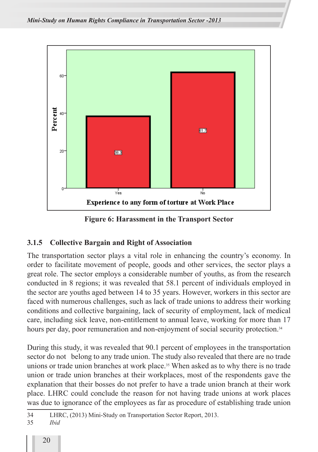

**Figure 6: Harassment in the Transport Sector**

#### **3.1.5 Collective Bargain and Right of Association**

The transportation sector plays a vital role in enhancing the country's economy. In order to facilitate movement of people, goods and other services, the sector plays a great role. The sector employs a considerable number of youths, as from the research conducted in 8 regions; it was revealed that 58.1 percent of individuals employed in the sector are youths aged between 14 to 35 years. However, workers in this sector are faced with numerous challenges, such as lack of trade unions to address their working conditions and collective bargaining, lack of security of employment, lack of medical care, including sick leave, non-entitlement to annual leave, working for more than 17 hours per day, poor remuneration and non-enjoyment of social security protection.<sup>34</sup>

During this study, it was revealed that 90.1 percent of employees in the transportation sector do not belong to any trade union. The study also revealed that there are no trade unions or trade union branches at work place.<sup>35</sup> When asked as to why there is no trade union or trade union branches at their workplaces, most of the respondents gave the explanation that their bosses do not prefer to have a trade union branch at their work place. LHRC could conclude the reason for not having trade unions at work places was due to ignorance of the employees as far as procedure of establishing trade union

<sup>34</sup> LHRC, (2013) Mini-Study on Transportation Sector Report, 2013.

<sup>35</sup> *Ibid*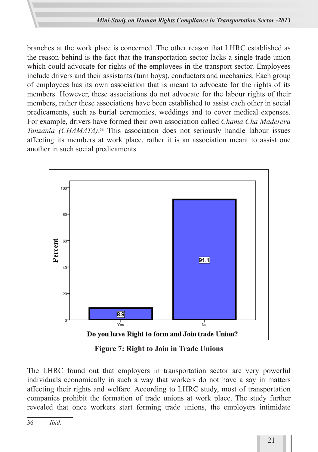branches at the work place is concerned. The other reason that LHRC established as the reason behind is the fact that the transportation sector lacks a single trade union which could advocate for rights of the employees in the transport sector. Employees include drivers and their assistants (turn boys), conductors and mechanics. Each group of employees has its own association that is meant to advocate for the rights of its members. However, these associations do not advocate for the labour rights of their members, rather these associations have been established to assist each other in social predicaments, such as burial ceremonies, weddings and to cover medical expenses. For example, drivers have formed their own association called *Chama Cha Madereva Tanzania (CHAMATA)*. 36 This association does not seriously handle labour issues affecting its members at work place, rather it is an association meant to assist one another in such social predicaments.



**Figure 7: Right to Join in Trade Unions**

The LHRC found out that employers in transportation sector are very powerful individuals economically in such a way that workers do not have a say in matters affecting their rights and welfare. According to LHRC study, most of transportation companies prohibit the formation of trade unions at work place. The study further revealed that once workers start forming trade unions, the employers intimidate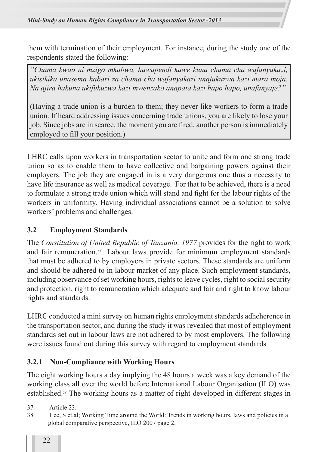them with termination of their employment. For instance, during the study one of the respondents stated the following:

*"Chama kwao ni mzigo mkubwa, hawapendi kuwe kuna chama cha wafanyakazi, ukisikika unasema habari za chama cha wafanyakazi unafukuzwa kazi mara moja. Na ajira hakuna ukifukuzwa kazi mwenzako anapata kazi hapo hapo, unafanyaje?"*

(Having a trade union is a burden to them; they never like workers to form a trade union. If heard addressing issues concerning trade unions, you are likely to lose your job. Since jobs are in scarce, the moment you are fired, another person is immediately employed to fill your position.)

LHRC calls upon workers in transportation sector to unite and form one strong trade union so as to enable them to have collective and bargaining powers against their employers. The job they are engaged in is a very dangerous one thus a necessity to have life insurance as well as medical coverage. For that to be achieved, there is a need to formulate a strong trade union which will stand and fight for the labour rights of the workers in uniformity. Having individual associations cannot be a solution to solve workers' problems and challenges.

### **3.2 Employment Standards**

The *Constitution of United Republic of Tanzania, 1977* provides for the right to work and fair remuneration.37 Labour laws provide for minimum employment standards that must be adhered to by employers in private sectors. These standards are uniform and should be adhered to in labour market of any place. Such employment standards, including observance of set working hours, rights to leave cycles, right to social security and protection, right to remuneration which adequate and fair and right to know labour rights and standards.

LHRC conducted a mini survey on human rights employment standards adheherence in the transportation sector, and during the study it was revealed that most of employment standards set out in labour laws are not adhered to by most employers. The following were issues found out during this survey with regard to employment standards

### **3.2.1 Non-Compliance with Working Hours**

The eight working hours a day implying the 48 hours a week was a key demand of the working class all over the world before International Labour Organisation (ILO) was established.38 The working hours as a matter of right developed in different stages in

<sup>37</sup> Article 23.

<sup>38</sup> Lee, S et.al; Working Time around the World: Trends in working hours, laws and policies in a global comparative perspective, ILO 2007 page 2.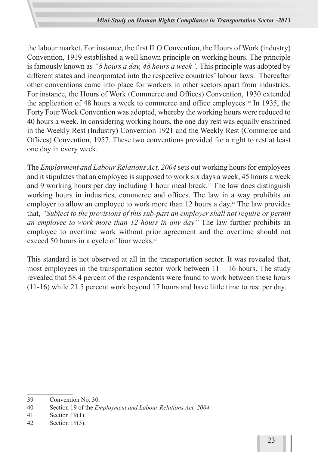the labour market. For instance, the first ILO Convention, the Hours of Work (industry) Convention, 1919 established a well known principle on working hours. The principle is famously known as *"8 hours a day, 48 hours a week".* This principle was adopted by different states and incorporated into the respective countries' labour laws. Thereafter other conventions came into place for workers in other sectors apart from industries. For instance, the Hours of Work (Commerce and Offices) Convention, 1930 extended the application of 48 hours a week to commerce and office employees.39 In 1935, the Forty Four Week Convention was adopted, whereby the working hours were reduced to 40 hours a week. In considering working hours, the one day rest was equally enshrined in the Weekly Rest (Industry) Convention 1921 and the Weekly Rest (Commerce and Offices) Convention, 1957. These two conventions provided for a right to rest at least one day in every week.

The *Employment and Labour Relations Act, 2004* sets out working hours for employees and it stipulates that an employee is supposed to work six days a week, 45 hours a week and 9 working hours per day including 1 hour meal break.<sup>40</sup> The law does distinguish working hours in industries, commerce and offices. The law in a way prohibits an employer to allow an employee to work more than 12 hours a day.<sup>41</sup> The law provides that, *"Subject to the provisions of this sub-part an employer shall not require or permit an employee to work more than 12 hours in any day"* The law further prohibits an employee to overtime work without prior agreement and the overtime should not exceed 50 hours in a cycle of four weeks.<sup>42</sup>

This standard is not observed at all in the transportation sector. It was revealed that, most employees in the transportation sector work between  $11 - 16$  hours. The study revealed that 58.4 percent of the respondents were found to work between these hours (11-16) while 21.5 percent work beyond 17 hours and have little time to rest per day.

<sup>39</sup> Convention No. 30.

<sup>40</sup> Section 19 of the *Employment and Labour Relations Act, 2004.*

<sup>41</sup> Section 19(1).

<sup>42</sup> Section 19(3).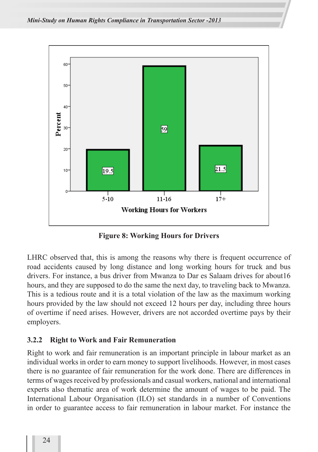

**Figure 8: Working Hours for Drivers**

LHRC observed that, this is among the reasons why there is frequent occurrence of road accidents caused by long distance and long working hours for truck and bus drivers. For instance, a bus driver from Mwanza to Dar es Salaam drives for about16 hours, and they are supposed to do the same the next day, to traveling back to Mwanza. This is a tedious route and it is a total violation of the law as the maximum working hours provided by the law should not exceed 12 hours per day, including three hours of overtime if need arises. However, drivers are not accorded overtime pays by their employers.

#### **3.2.2 Right to Work and Fair Remuneration**

Right to work and fair remuneration is an important principle in labour market as an individual works in order to earn money to support livelihoods. However, in most cases there is no guarantee of fair remuneration for the work done. There are differences in terms of wages received by professionals and casual workers, national and international experts also thematic area of work determine the amount of wages to be paid. The International Labour Organisation (ILO) set standards in a number of Conventions in order to guarantee access to fair remuneration in labour market. For instance the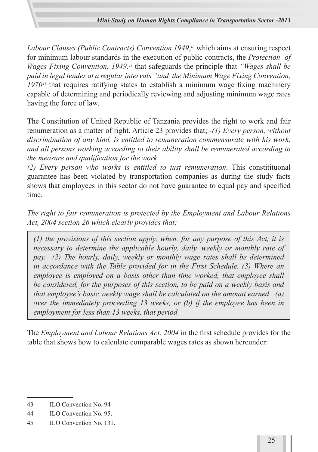*Labour Clauses (Public Contracts) Convention 1949*, 43 which aims at ensuring respect for minimum labour standards in the execution of public contracts, the *Protection of Wages Fixing Convention, 1949,<sup>44</sup>* that safeguards the principle that *"Wages shall be paid in legal tender at a regular intervals "and the Minimum Wage Fixing Convention, 197045* that requires ratifying states to establish a minimum wage fixing machinery capable of determining and periodically reviewing and adjusting minimum wage rates having the force of law.

The Constitution of United Republic of Tanzania provides the right to work and fair renumeration as a matter of right. Article 23 provides that; *-(1) Every person, without discrimination of any kind, is entitled to remuneration commensurate with his work, and all persons working according to their ability shall be remunerated according to the measure and qualification for the work.*

*(2) Every person who works is entitled to just remuneration*. This constitituonal guarantee has been violated by transportation companies as during the study facts shows that employees in this sector do not have guarantee to equal pay and specified time.

*The right to fair remuneration is protected by the Employment and Labour Relations Act, 2004 section 26 which clearly provides that;* 

*(1) the provisions of this section apply, when, for any purpose of this Act, it is necessary to determine the applicable hourly, daily, weekly or monthly rate of pay. (2) The hourly, daily, weekly or monthly wage rates shall be determined in accordance with the Table provided for in the First Schedule. (3) Where an employee is employed on a basis other than time worked, that employee shall be considered, for the purposes of this section, to be paid on a weekly basis and that employee's basic weekly wage shall be calculated on the amount earned (a) over the immediately proceeding 13 weeks, or (b) if the employee has been in employment for less than 13 weeks, that period*

The *Employment and Labour Relations Act, 2004* in the first schedule provides for the table that shows how to calculate comparable wages rates as shown hereunder:

<sup>43</sup> ILO Convention No. 94

<sup>44</sup> ILO Convention No. 95.

<sup>45</sup> ILO Convention No. 131.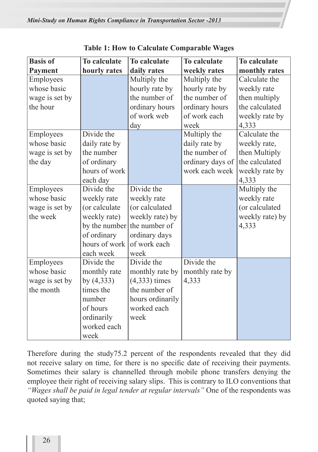| <b>Basis of</b> | <b>To calculate</b> | To calculate     | To calculate     | <b>To calculate</b> |
|-----------------|---------------------|------------------|------------------|---------------------|
| <b>Payment</b>  | hourly rates        | daily rates      | weekly rates     | monthly rates       |
| Employees       |                     | Multiply the     | Multiply the     | Calculate the       |
| whose basic     |                     | hourly rate by   | hourly rate by   | weekly rate         |
| wage is set by  |                     | the number of    | the number of    | then multiply       |
| the hour        |                     | ordinary hours   | ordinary hours   | the calculated      |
|                 |                     | of work web      | of work each     | weekly rate by      |
|                 |                     | day              | week             | 4,333               |
| Employees       | Divide the          |                  | Multiply the     | Calculate the       |
| whose basic     | daily rate by       |                  | daily rate by    | weekly rate,        |
| wage is set by  | the number          |                  | the number of    | then Multiply       |
| the day         | of ordinary         |                  | ordinary days of | the calculated      |
|                 | hours of work       |                  | work each week   | weekly rate by      |
|                 | each day            |                  |                  | 4,333               |
| Employees       | Divide the          | Divide the       |                  | Multiply the        |
| whose basic     | weekly rate         | weekly rate      |                  | weekly rate         |
| wage is set by  | (or calculate       | (or calculated   |                  | (or calculated      |
| the week        | weekly rate)        | weekly rate) by  |                  | weekly rate) by     |
|                 | by the number       | the number of    |                  | 4,333               |
|                 | of ordinary         | ordinary days    |                  |                     |
|                 | hours of work       | of work each     |                  |                     |
|                 | each week           | week             |                  |                     |
| Employees       | Divide the          | Divide the       | Divide the       |                     |
| whose basic     | monthly rate        | monthly rate by  | monthly rate by  |                     |
| wage is set by  | by $(4, 333)$       | $(4,333)$ times  | 4,333            |                     |
| the month       | times the           | the number of    |                  |                     |
|                 | number              | hours ordinarily |                  |                     |
|                 | of hours            | worked each      |                  |                     |
|                 | ordinarily          | week             |                  |                     |
|                 | worked each         |                  |                  |                     |
|                 | week                |                  |                  |                     |

**Table 1: How to Calculate Comparable Wages**

Therefore during the study75.2 percent of the respondents revealed that they did not receive salary on time, for there is no specific date of receiving their payments. Sometimes their salary is channelled through mobile phone transfers denying the employee their right of receiving salary slips. This is contrary to ILO conventions that *"Wages shall be paid in legal tender at regular intervals"* One of the respondents was quoted saying that;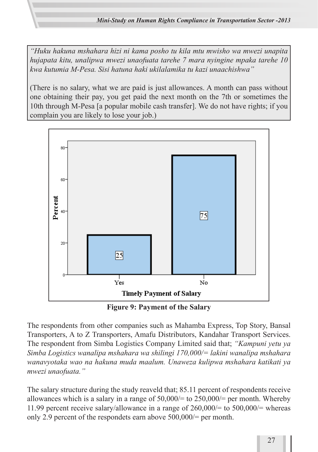*"Huku hakuna mshahara hizi ni kama posho tu kila mtu mwisho wa mwezi unapita hujapata kitu, unalipwa mwezi unaofuata tarehe 7 mara nyingine mpaka tarehe 10 kwa kutumia M-Pesa. Sisi hatuna haki ukilalamika tu kazi unaachishwa"*

(There is no salary, what we are paid is just allowances. A month can pass without one obtaining their pay, you get paid the next month on the 7th or sometimes the 10th through M-Pesa [a popular mobile cash transfer]. We do not have rights; if you complain you are likely to lose your job.)



**Figure 9: Payment of the Salary**

The respondents from other companies such as Mahamba Express, Top Story, Bansal Transporters, A to Z Transporters, Amafu Distributors, Kandahar Transport Services. The respondent from Simba Logistics Company Limited said that; *"Kampuni yetu ya Simba Logistics wanalipa mshahara wa shilingi 170,000/= lakini wanalipa mshahara wanavyotaka wao na hakuna muda maalum. Unaweza kulipwa mshahara katikati ya mwezi unaofuata."*

The salary structure during the study reaveld that; 85.11 percent of respondents receive allowances which is a salary in a range of 50,000/= to 250,000/= per month. Whereby 11.99 percent receive salary/allowance in a range of  $260,000/=$  to  $500,000/=$  whereas only 2.9 percent of the respondets earn above 500,000/= per month.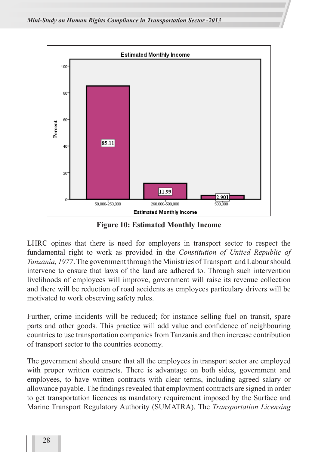

**Figure 10: Estimated Monthly Income**

LHRC opines that there is need for employers in transport sector to respect the fundamental right to work as provided in the *Constitution of United Republic of Tanzania, 1977*. The government through the Ministries of Transport and Labour should intervene to ensure that laws of the land are adhered to. Through such intervention livelihoods of employees will improve, government will raise its revenue collection and there will be reduction of road accidents as employees particulary drivers will be motivated to work observing safety rules.

Further, crime incidents will be reduced; for instance selling fuel on transit, spare parts and other goods. This practice will add value and confidence of neighbouring countries to use transportation companies from Tanzania and then increase contribution of transport sector to the countries economy.

The government should ensure that all the employees in transport sector are employed with proper written contracts. There is advantage on both sides, government and employees, to have written contracts with clear terms, including agreed salary or allowance payable. The findings revealed that employment contracts are signed in order to get transportation licences as mandatory requirement imposed by the Surface and Marine Transport Regulatory Authority (SUMATRA). The *Transportation Licensing*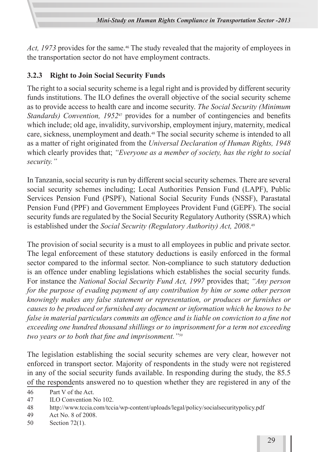Act, 1973 provides for the same.<sup>46</sup> The study revealed that the majority of employees in the transportation sector do not have employment contracts.

### **3.2.3 Right to Join Social Security Funds**

The right to a social security scheme is a legal right and is provided by different security funds institutions. The ILO defines the overall objective of the social security scheme as to provide access to health care and income security. *The Social Security (Minimum Standards) Convention, 1952*47 provides for a number of contingencies and benefits which include; old age, invalidity, survivorship, employment injury, maternity, medical care, sickness, unemployment and death.<sup>48</sup> The social security scheme is intended to all as a matter of right originated from the *Universal Declaration of Human Rights, 1948* which clearly provides that; *"Everyone as a member of society, has the right to social security."*

In Tanzania, social security is run by different social security schemes. There are several social security schemes including; Local Authorities Pension Fund (LAPF), Public Services Pension Fund (PSPF), National Social Security Funds (NSSF), Parastatal Pension Fund (PPF) and Government Employees Provident Fund (GEPF). The social security funds are regulated by the Social Security Regulatory Authority (SSRA) which is established under the *Social Security (Regulatory Authority) Act, 2008*. 49

The provision of social security is a must to all employees in public and private sector. The legal enforcement of these statutory deductions is easily enforced in the formal sector compared to the informal sector. Non-compliance to such statutory deduction is an offence under enabling legislations which establishes the social security funds. For instance the *National Social Security Fund Act, 1997* provides that; *"Any person for the purpose of evading payment of any contribution by him or some other person knowingly makes any false statement or representation, or produces or furnishes or causes to be produced or furnished any document or information which he knows to be false in material particulars commits an offence and is liable on conviction to a fine not exceeding one hundred thousand shillings or to imprisonment for a term not exceeding two years or to both that fine and imprisonment."50*

The legislation establishing the social security schemes are very clear, however not enforced in transport sector. Majority of respondents in the study were not registered in any of the social security funds available. In responding during the study, the 85.5 of the respondents answered no to question whether they are registered in any of the

46 Part V of the Act.

47 ILO Convention No 102.

- 49 Act No. 8 of 2008.
- 50 Section 72(1).

<sup>48</sup> http://www.tccia.com/tccia/wp-content/uploads/legal/policy/socialsecuritypolicy.pdf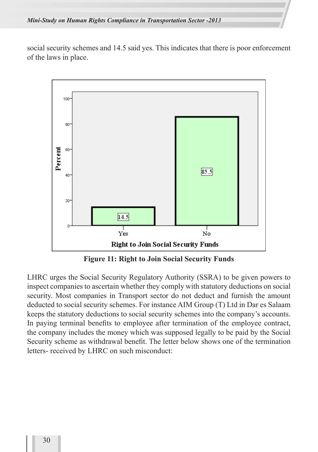social security schemes and 14.5 said yes. This indicates that there is poor enforcement of the laws in place.



**Figure 11: Right to Join Social Security Funds**

LHRC urges the Social Security Regulatory Authority (SSRA) to be given powers to inspect companies to ascertain whether they comply with statutory deductions on social security. Most companies in Transport sector do not deduct and furnish the amount deducted to social security schemes. For instance AIM Group (T) Ltd in Dar es Salaam keeps the statutory deductions to social security schemes into the company's accounts. In paying terminal benefits to employee after termination of the employee contract, the company includes the money which was supposed legally to be paid by the Social Security scheme as withdrawal benefit. The letter below shows one of the termination letters- received by LHRC on such misconduct: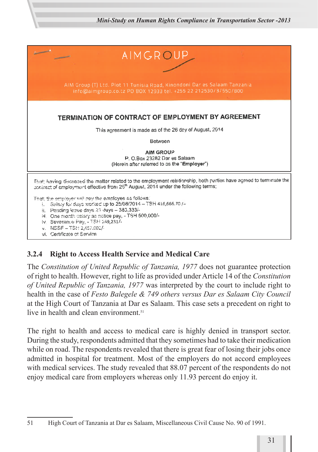

### **3.2.4 Right to Access Health Service and Medical Care**

The *Constitution of United Republic of Tanzania, 1977* does not guarantee protection of right to health. However, right to life as provided under Article 14 of the *Constitution of United Republic of Tanzania, 1977* was interpreted by the court to include right to health in the case of *Festo Balegele & 749 others versus Dar es Salaam City Council*  at the High Court of Tanzania at Dar es Salaam. This case sets a precedent on right to live in health and clean environment<sup>51</sup>

The right to health and access to medical care is highly denied in transport sector. During the study, respondents admitted that they sometimes had to take their medication while on road. The respondents revealed that there is great fear of losing their jobs once admitted in hospital for treatment. Most of the employers do not accord employees with medical services. The study revealed that 88.07 percent of the respondents do not enjoy medical care from employers whereas only 11.93 percent do enjoy it.

<sup>51</sup> High Court of Tanzania at Dar es Salaam, Miscellaneous Civil Cause No. 90 of 1991.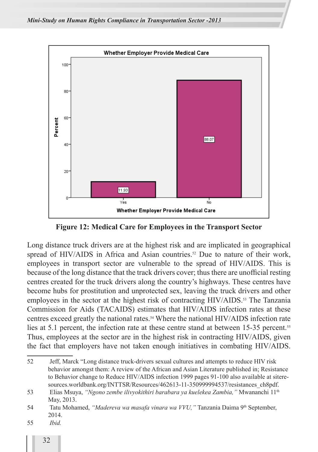

**Figure 12: Medical Care for Employees in the Transport Sector**

Long distance truck drivers are at the highest risk and are implicated in geographical spread of HIV/AIDS in Africa and Asian countries.<sup>52</sup> Due to nature of their work, employees in transport sector are vulnerable to the spread of HIV/AIDS. This is because of the long distance that the track drivers cover; thus there are unofficial resting centres created for the truck drivers along the country's highways. These centres have become hubs for prostitution and unprotected sex, leaving the truck drivers and other employees in the sector at the highest risk of contracting HIV/AIDS.<sup>53</sup> The Tanzania Commission for Aids (TACAIDS) estimates that HIV/AIDS infection rates at these centres exceed greatly the national rates.54 Where the national HIV/AIDS infection rate lies at 5.1 percent, the infection rate at these centre stand at between 15-35 percent.<sup>55</sup> Thus, employees at the sector are in the highest risk in contracting HIV/AIDS, given the fact that employers have not taken enough initiatives in combating HIV/AIDS.

<sup>52</sup> Jeff, Marck "Long distance truck-drivers sexual cultures and attempts to reduce HIV risk behavior amongst them: A review of the African and Asian Literature published in; Resistance to Behavior change to Reduce HIV/AIDS infection 1999 pages 91-100 also available at siteresources.worldbank.org/INTTSR/Resources/462613-11-350999994537/resistances\_ch8pdf.

<sup>53</sup> Elias Msuya, *"Ngono zembe ilivyokithiri barabara ya kuelekea Zambia,"* Mwananchi 11th May, 2013.

<sup>54</sup> Tatu Mohamed, *"Madereva wa masafa vinara wa VVU,"* Tanzania Daima 9th September, 2014.

<sup>55</sup> *Ibid.*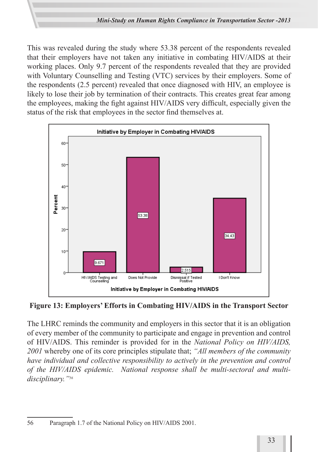This was revealed during the study where 53.38 percent of the respondents revealed that their employers have not taken any initiative in combating HIV/AIDS at their working places. Only 9.7 percent of the respondents revealed that they are provided with Voluntary Counselling and Testing (VTC) services by their employers. Some of the respondents (2.5 percent) revealed that once diagnosed with HIV, an employee is likely to lose their job by termination of their contracts. This creates great fear among the employees, making the fight against HIV/AIDS very difficult, especially given the status of the risk that employees in the sector find themselves at.



**Figure 13: Employers' Efforts in Combating HIV/AIDS in the Transport Sector**

The LHRC reminds the community and employers in this sector that it is an obligation of every member of the community to participate and engage in prevention and control of HIV/AIDS. This reminder is provided for in the *National Policy on HIV/AIDS, 2001* whereby one of its core principles stipulate that; *"All members of the community have individual and collective responsibility to actively in the prevention and control of the HIV/AIDS epidemic. National response shall be multi-sectoral and multidisciplinary."56*

<sup>56</sup> Paragraph 1.7 of the National Policy on HIV/AIDS 2001.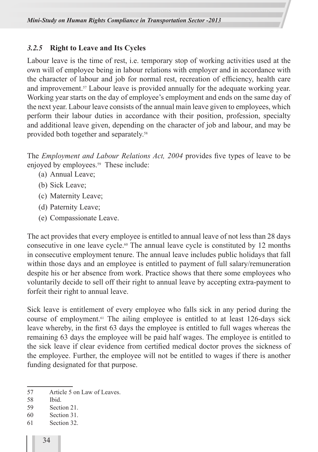#### *3.2.5* **Right to Leave and Its Cycles**

Labour leave is the time of rest, i.e. temporary stop of working activities used at the own will of employee being in labour relations with employer and in accordance with the character of labour and job for normal rest, recreation of efficiency, health care and improvement.57 Labour leave is provided annually for the adequate working year. Working year starts on the day of employee's employment and ends on the same day of the next year. Labour leave consists of the annual main leave given to employees, which perform their labour duties in accordance with their position, profession, specialty and additional leave given, depending on the character of job and labour, and may be provided both together and separately.<sup>58</sup>

The *Employment and Labour Relations Act, 2004* provides five types of leave to be enjoyed by employees.<sup>59</sup> These include:

- (a) Annual Leave;
- (b) Sick Leave;
- (c) Maternity Leave;
- (d) Paternity Leave;
- (e) Compassionate Leave.

The act provides that every employee is entitled to annual leave of not less than 28 days consecutive in one leave cycle.60 The annual leave cycle is constituted by 12 months in consecutive employment tenure. The annual leave includes public holidays that fall within those days and an employee is entitled to payment of full salary/remuneration despite his or her absence from work. Practice shows that there some employees who voluntarily decide to sell off their right to annual leave by accepting extra-payment to forfeit their right to annual leave.

Sick leave is entitlement of every employee who falls sick in any period during the course of employment.61 The ailing employee is entitled to at least 126-days sick leave whereby, in the first 63 days the employee is entitled to full wages whereas the remaining 63 days the employee will be paid half wages. The employee is entitled to the sick leave if clear evidence from certified medical doctor proves the sickness of the employee. Further, the employee will not be entitled to wages if there is another funding designated for that purpose.

- 57 Article 5 on Law of Leaves.
- 58 Ibid.
- 59 Section 21.
- 60 Section 31.
- 61 Section 32.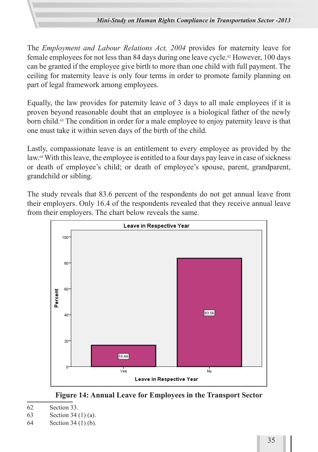The *Employment and Labour Relations Act, 2004* provides for maternity leave for female employees for not less than 84 days during one leave cycle.<sup>62</sup> However, 100 days can be granted if the employee give birth to more than one child with full payment. The ceiling for maternity leave is only four terms in order to promote family planning on part of legal framework among employees.

Equally, the law provides for paternity leave of 3 days to all male employees if it is proven beyond reasonable doubt that an employee is a biological father of the newly born child.<sup>63</sup> The condition in order for a male employee to enjoy paternity leave is that one must take it within seven days of the birth of the child.

Lastly, compassionate leave is an entitlement to every employee as provided by the law.64 With this leave, the employee is entitled to a four days pay leave in case of sickness or death of employee's child; or death of employee's spouse, parent, grandparent, grandchild or sibling.

The study reveals that 83.6 percent of the respondents do not get annual leave from their employers. Only 16.4 of the respondents revealed that they receive annual leave from their employers. The chart below reveals the same.



**Figure 14: Annual Leave for Employees in the Transport Sector**

- 63 Section 34 (1) (a).
- 64 Section 34 (1) (b).

<sup>62</sup> Section 33.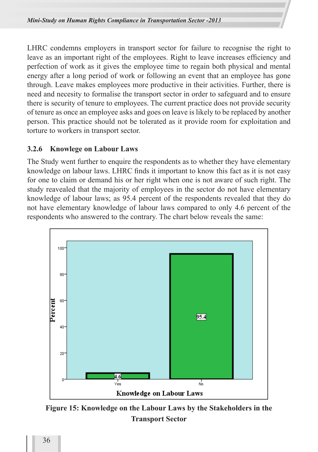LHRC condemns employers in transport sector for failure to recognise the right to leave as an important right of the employees. Right to leave increases efficiency and perfection of work as it gives the employee time to regain both physical and mental energy after a long period of work or following an event that an employee has gone through. Leave makes employees more productive in their activities. Further, there is need and necesity to formalise the transport sector in order to safeguard and to ensure there is security of tenure to employees. The current practice does not provide security of tenure as once an employee asks and goes on leave is likely to be replaced by another person. This practice should not be tolerated as it provide room for exploitation and torture to workers in transport sector.

#### **3.2.6 Knowlege on Labour Laws**

The Study went further to enquire the respondents as to whether they have elementary knowledge on labour laws. LHRC finds it important to know this fact as it is not easy for one to claim or demand his or her right when one is not aware of such right. The study reavealed that the majority of employees in the sector do not have elementary knowledge of labour laws; as 95.4 percent of the respondents revealed that they do not have elementary knowledge of labour laws compared to only 4.6 percent of the respondents who answered to the contrary. The chart below reveals the same:



**Figure 15: Knowledge on the Labour Laws by the Stakeholders in the Transport Sector**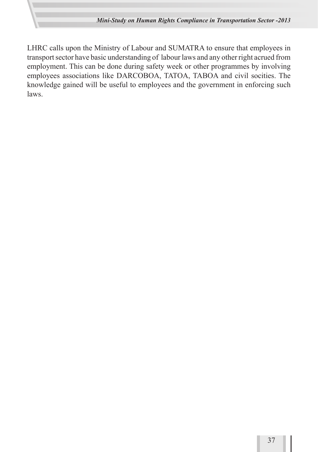LHRC calls upon the Ministry of Labour and SUMATRA to ensure that employees in transport sector have basic understanding of labour laws and any other right acrued from employment. This can be done during safety week or other programmes by involving employees associations like DARCOBOA, TATOA, TABOA and civil socities. The knowledge gained will be useful to employees and the government in enforcing such laws.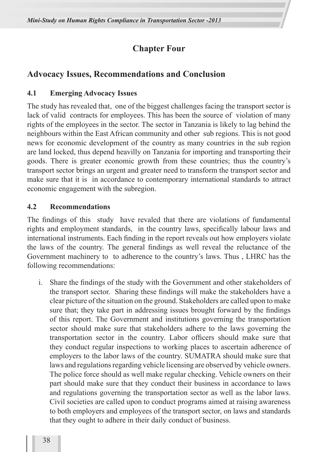# **Chapter Four**

# **Advocacy Issues, Recommendations and Conclusion**

#### **4.1 Emerging Advocacy Issues**

The study has revealed that, one of the biggest challenges facing the transport sector is lack of valid contracts for employees. This has been the source of violation of many rights of the employees in the sector. The sector in Tanzania is likely to lag behind the neighbours within the East African community and other sub regions. This is not good news for economic development of the country as many countries in the sub region are land locked, thus depend heavilly on Tanzania for importing and transporting their goods. There is greater economic growth from these countries; thus the country's transport sector brings an urgent and greater need to transform the transport sector and make sure that it is in accordance to contemporary international standards to attract economic engagement with the subregion.

#### **4.2 Recommendations**

The findings of this study have revaled that there are violations of fundamental rights and employment standards, in the country laws, specifically labour laws and international instruments. Each finding in the report reveals out how employers violate the laws of the country. The general findings as well reveal the reluctance of the Government machinery to to adherence to the country's laws. Thus , LHRC has the following recommendations:

i. Share the findings of the study with the Government and other stakeholders of the transport sector. Sharing these findings will make the stakeholders have a clear picture of the situation on the ground. Stakeholders are called upon to make sure that; they take part in addressing issues brought forward by the findings of this report. The Government and institutions governing the transportation sector should make sure that stakeholders adhere to the laws governing the transportation sector in the country. Labor officers should make sure that they conduct regular inspections to working places to ascertain adherence of employers to the labor laws of the country. SUMATRA should make sure that laws and regulations regarding vehicle licensing are observed by vehicle owners. The police force should as well make regular checking. Vehicle owners on their part should make sure that they conduct their business in accordance to laws and regulations governing the transportation sector as well as the labor laws. Civil societies are called upon to conduct programs aimed at raising awareness to both employers and employees of the transport sector, on laws and standards that they ought to adhere in their daily conduct of business.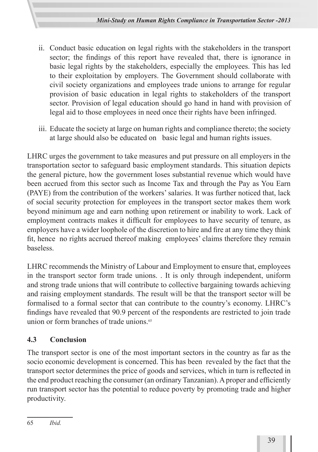- ii. Conduct basic education on legal rights with the stakeholders in the transport sector; the findings of this report have revealed that, there is ignorance in basic legal rights by the stakeholders, especially the employees. This has led to their exploitation by employers. The Government should collaborate with civil society organizations and employees trade unions to arrange for regular provision of basic education in legal rights to stakeholders of the transport sector. Provision of legal education should go hand in hand with provision of legal aid to those employees in need once their rights have been infringed.
- iii. Educate the society at large on human rights and compliance thereto; the society at large should also be educated on basic legal and human rights issues.

LHRC urges the government to take measures and put pressure on all employers in the transportation sector to safeguard basic employment standards. This situation depicts the general picture, how the government loses substantial revenue which would have been accrued from this sector such as Income Tax and through the Pay as You Earn (PAYE) from the contribution of the workers' salaries. It was further noticed that, lack of social security protection for employees in the transport sector makes them work beyond minimum age and earn nothing upon retirement or inability to work. Lack of employment contracts makes it difficult for employees to have security of tenure, as employers have a wider loophole of the discretion to hire and fire at any time they think fit, hence no rights accrued thereof making employees' claims therefore they remain baseless.

LHRC recommends the Ministry of Labour and Employment to ensure that, employees in the transport sector form trade unions. . It is only through independent, uniform and strong trade unions that will contribute to collective bargaining towards achieving and raising employment standards. The result will be that the transport sector will be formalised to a formal sector that can contribute to the country's economy. LHRC's findings have revealed that 90.9 percent of the respondents are restricted to join trade union or form branches of trade unions.<sup>65</sup>

# **4.3 Conclusion**

The transport sector is one of the most important sectors in the country as far as the socio economic development is concerned. This has been revealed by the fact that the transport sector determines the price of goods and services, which in turn is reflected in the end product reaching the consumer (an ordinary Tanzanian). A proper and efficiently run transport sector has the potential to reduce poverty by promoting trade and higher productivity.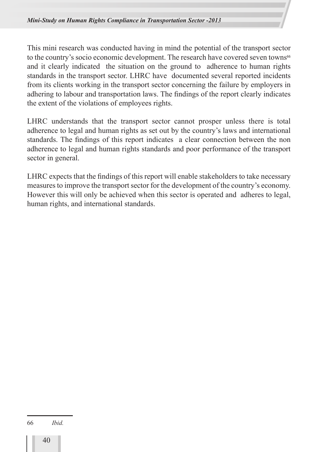This mini research was conducted having in mind the potential of the transport sector to the country's socio economic development. The research have covered seven towns<sup>66</sup> and it clearly indicated the situation on the ground to adherence to human rights standards in the transport sector. LHRC have documented several reported incidents from its clients working in the transport sector concerning the failure by employers in adhering to labour and transportation laws. The findings of the report clearly indicates the extent of the violations of employees rights.

LHRC understands that the transport sector cannot prosper unless there is total adherence to legal and human rights as set out by the country's laws and international standards. The findings of this report indicates a clear connection between the non adherence to legal and human rights standards and poor performance of the transport sector in general.

LHRC expects that the findings of this report will enable stakeholders to take necessary measures to improve the transport sector for the development of the country's economy. However this will only be achieved when this sector is operated and adheres to legal, human rights, and international standards.

66 *Ibid.*

40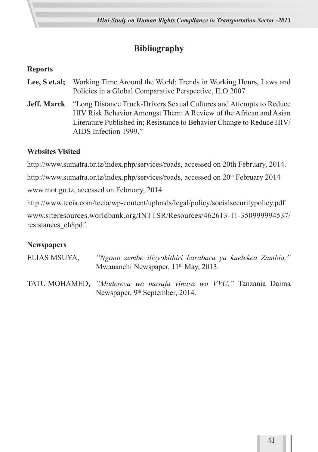# **Bibliography**

### **Reports**

- **Lee, S et.al;** Working Time Around the World: Trends in Working Hours, Laws and Policies in a Global Comparative Perspective, ILO 2007.
- **Jeff, Marck** "Long Distance Truck-Drivers Sexual Cultures and Attempts to Reduce HIV Risk Behavior Amongst Them: A Review of the African and Asian Literature Published in; Resistance to Behavior Change to Reduce HIV/ AIDS Infection 1999."

#### **Websites Visited**

http://www.sumatra.or.tz/index.php/services/roads, accessed on 20th February, 2014.

http://www.sumatra.or.tz/index.php/services/roads, accessed on 20<sup>th</sup> February 2014

www.mot.go.tz, accessed on February, 2014.

http://www.tccia.com/tccia/wp-content/uploads/legal/policy/socialsecuritypolicy.pdf

www.siteresources.worldbank.org/INTTSR/Resources/462613-11-350999994537/ resistances\_ch8pdf.

#### **Newspapers**

- ELIAS MSUYA, *"Ngono zembe ilivyokithiri barabara ya kuelekea Zambia,"*  Mwananchi Newspaper, 11<sup>th</sup> May, 2013.
- TATU MOHAMED, *"Madereva wa masafa vinara wa VVU,"* Tanzania Daima Newspaper, 9<sup>th</sup> September, 2014.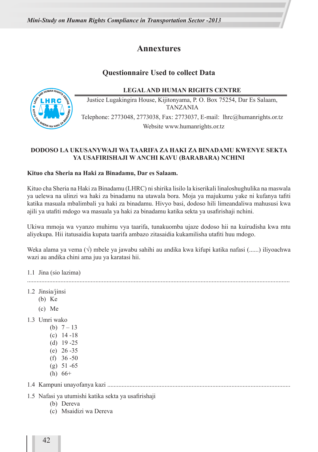#### **Annextures**

#### **Questionnaire Used to collect Data**

**LEGAL AND HUMAN RIGHTS CENTRE**



Justice Lugakingira House, Kijitonyama, P. O. Box 75254, Dar Es Salaam, TANZANIA Telephone: 2773048, 2773038, Fax: 2773037, E-mail: lhrc@humanrights.or.tz Website www.humanrights.or.tz

#### **DODOSO LA UKUSANYWAJI WA TAARIFA ZA HAKI ZA BINADAMU KWENYE SEKTA YA USAFIRISHAJI W ANCHI KAVU (BARABARA) NCHINI**

#### **Kituo cha Sheria na Haki za Binadamu, Dar es Salaam.**

Kituo cha Sheria na Haki za Binadamu (LHRC) ni shirika lisilo la kiserikali linaloshughulika na maswala ya uelewa na ulinzi wa haki za binadamu na utawala bora. Moja ya majukumu yake ni kufanya tafiti katika masuala mbalimbali ya haki za binadamu. Hivyo basi, dodoso hili limeandaliwa mahususi kwa ajili ya utafiti mdogo wa masuala ya haki za binadamu katika sekta ya usafirishaji nchini.

Ukiwa mmoja wa vyanzo muhimu vya taarifa, tunakuomba ujaze dodoso hii na kuirudisha kwa mtu aliyekupa. Hii itatusaidia kupata taarifa ambazo zitasaidia kukamilisha utafiti huu mdogo.

Weka alama ya vema (√) mbele ya jawabu sahihi au andika kwa kifupi katika nafasi (......) iliyoachwa wazi au andika chini ama juu ya karatasi hii.

1.1 Jina (sio lazima)

.....................................................................................................................................................................

- 1.2 Jinsia/jinsi
	- (b) Ke
	- (c) Me
- 1.3 Umri wako
	- (b)  $7 13$ (c) 14 -18
	- (d) 19 -25
	- (e) 26 -35
	- $(f)$  36 -50
	- $(g)$  51 -65
	- (h)  $66+$

1.4 Kampuni unayofanya kazi ...................................................................................................................

- 1.5 Nafasi ya utumishi katika sekta ya usafirishaji
	- (b) Dereva
	- (c) Msaidizi wa Dereva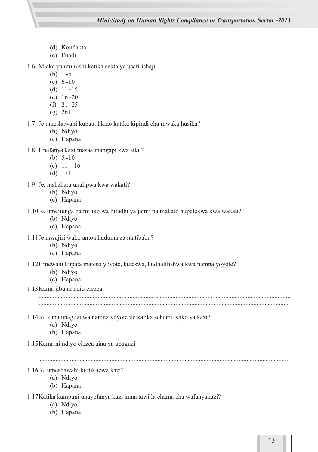- (d) Kondakta
- (e) Fundi

1.6 Miaka ya utumishi katika sekta ya usafirishaji

- (b) 1 -5
- (c) 6 -10
- (d) 11 -15
- (e) 16 -20
- (f) 21 -25
- $(g)$  26+

#### 1.7 Je umeshawahi kupata likizo katika kipindi cha mwaka husika?

- (b) Ndiyo
- (c) Hapana
- 1.8 Unafanya kazi masaa mangapi kwa siku?
	- (b) 5 -10
	- (c) 11 16
	- $(d) 17+$
- 1.9 Je, mshahara unalipwa kwa wakati?
	- (b) Ndiyo
	- (c) Hapana

#### 1.10Je, umejiunga na mfuko wa hifadhi ya jamii na makato hupelekwa kwa wakati?

- (b) Ndiyo
- (c) Hapana
- 1.11Je mwajiri wako antoa huduma za matibabu?
	- (b) Ndiyo
	- (c) Hapana

#### 1.12Umewahi kupata mateso yoyote, kuteswa, kudhalilishwa kwa namna yoyote?

- (b) Ndiyo
- (c) Hapana
- 1.13Kama jibu ni ndio elezea

- 1.14Je, kuna ubaguzi wa namna yoyote ile katika sehemu yako ya kazi?
	- (a) Ndiyo
	- (b) Hapana
- 1.15Kama ni ndiyo elezea aina ya ubaguzi

.............................................................................................................................................................

.............................................................................................................................................................

- 1.16Je, umeshawahi kufukuzwa kazi?
	- (a) Ndiyo
	- (b) Hapana

1.17Katika kampuni unayofanya kazi kuna tawi la chama cha wafanyakazi?

- (a) Ndiyo
- (b) Hapana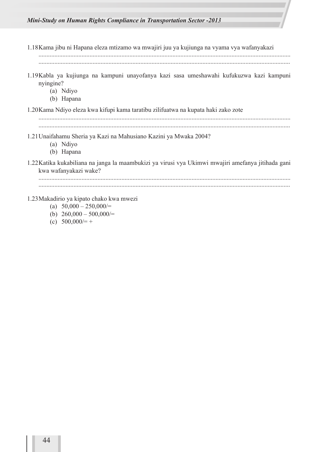- 1.18Kama jibu ni Hapana eleza mtizamo wa mwajiri juu ya kujiunga na vyama vya wafanyakazi .............................................................................................................................................................. .............................................................................................................................................................. 1.19Kabla ya kujiunga na kampuni unayofanya kazi sasa umeshawahi kufukuzwa kazi kampuni nyingine? (a) Ndiyo (b) Hapana 1.20Kama Ndiyo eleza kwa kifupi kama taratibu zilifuatwa na kupata haki zako zote .............................................................................................................................................................. 1.21Unaifahamu Sheria ya Kazi na Mahusiano Kazini ya Mwaka 2004? (a) Ndiyo (b) Hapana 1.22Katika kukabiliana na janga la maambukizi ya virusi vya Ukimwi mwajiri amefanya jitihada gani kwa wafanyakazi wake? .............................................................................................................................................................. 1.23Makadirio ya kipato chako kwa mwezi (a)  $50,000 - 250,000/$ (b)  $260,000 - 500,000/$ 
	-
	- (c)  $500,000/=+$